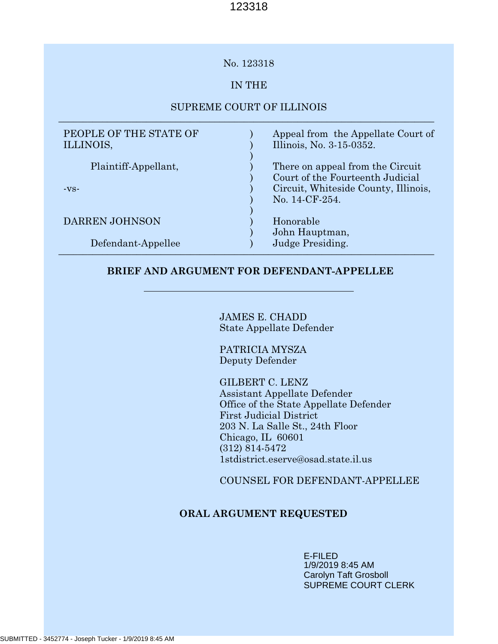# No. 123318

# IN THE

# SUPREME COURT OF ILLINOIS \_\_\_\_\_\_\_\_\_\_\_\_\_\_\_\_\_\_\_\_\_\_\_\_\_\_\_\_\_\_\_\_\_\_\_\_\_\_\_\_\_\_\_\_\_\_\_\_\_\_\_\_\_\_\_\_\_\_\_\_\_\_\_\_\_\_\_\_\_\_\_\_\_\_\_\_\_

| PEOPLE OF THE STATE OF<br>ILLINOIS, | Appeal from the Appellate Court of<br>Illinois, No. 3-15-0352.       |
|-------------------------------------|----------------------------------------------------------------------|
| Plaintiff-Appellant,                | There on appeal from the Circuit<br>Court of the Fourteenth Judicial |
| $-VS-$                              | Circuit, Whiteside County, Illinois,<br>No. 14-CF-254.               |
| <b>DARREN JOHNSON</b>               | Honorable<br>John Hauptman,                                          |
| Defendant-Appellee                  | Judge Presiding.                                                     |

# **BRIEF AND ARGUMENT FOR DEFENDANT-APPELLEE**

JAMES E. CHADD State Appellate Defender

PATRICIA MYSZA Deputy Defender

GILBERT C. LENZ Assistant Appellate Defender Office of the State Appellate Defender First Judicial District 203 N. La Salle St., 24th Floor Chicago, IL 60601 (312) 814-5472 1stdistrict.eserve@osad.state.il.us

COUNSEL FOR DEFENDANT-APPELLEE

# **ORAL ARGUMENT REQUESTED**

E-FILED 1/9/2019 8:45 AM Carolyn Taft Grosboll SUPREME COURT CLERK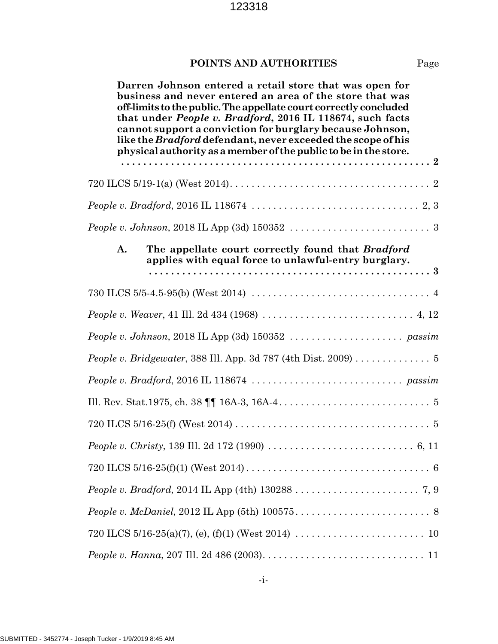# **POINTS AND AUTHORITIES** Page

**Darren Johnson entered a retail store that was open for business and never entered an area of the store that was off-limits to the public. The appellate court correctly concluded that under** *People v. Bradford***, 2016 IL 118674, such facts cannot support a conviction for burglary because Johnson, like the** *Bradford* **defendant, never exceeded the scope of his physical authority as a member of the public to be in the store. . . . . . . . . . . . . . . . . . . . . . . . . . . . . . . . . . . . . . . . . . . . . . . . . . . . . . . . . 2** 720 ILCS 5/19-1(a) (West 2014). . . . . . . . . . . . . . . . . . . . . . . . . . . . . . . . . . . . . 2 *People v. Bradford*, 2016 IL 118674 . . . . . . . . . . . . . . . . . . . . . . . . . . . . . . . 2, 3 *People v. Johnson*, 2018 IL App (3d) 150352 . . . . . . . . . . . . . . . . . . . . . . . . . . 3 **A. The appellate court correctly found that** *Bradford* **applies with equal force to unlawful-entry burglary. . . . . . . . . . . . . . . . . . . . . . . . . . . . . . . . . . . . . . . . . . . . . . . . . . . . 3** 730 ILCS 5/5-4.5-95(b) (West 2014) . . . . . . . . . . . . . . . . . . . . . . . . . . . . . . . . . 4 *People v. Weaver*, 41 Ill. 2d 434 (1968) . . . . . . . . . . . . . . . . . . . . . . . . . . . . 4, 12 *People v. Johnson*, 2018 IL App (3d) 150352 . . . . . . . . . . . . . . . . . . . . . *passim People v. Bridgewater*, 388 Ill. App. 3d 787 (4th Dist. 2009) . . . . . . . . . . . . . . 5 *People v. Bradford*, 2016 IL 118674 . . . . . . . . . . . . . . . . . . . . . . . . . . . . *passim* Ill. Rev. Stat.1975, ch. 38 ¶¶ 16A-3, 16A-4. . . . . . . . . . . . . . . . . . . . . . . . . . . . 5 720 ILCS 5/16-25(f) (West 2014) . . . . . . . . . . . . . . . . . . . . . . . . . . . . . . . . . . . . 5 *People v. Christy*, 139 Ill. 2d 172 (1990) . . . . . . . . . . . . . . . . . . . . . . . . . . . 6, 11 720 ILCS 5/16-25(f)(1) (West 2014) . . . . . . . . . . . . . . . . . . . . . . . . . . . . . . . . . . 6 *People v. Bradford*, 2014 IL App (4th) 130288 . . . . . . . . . . . . . . . . . . . . . . . 7, 9 *People v. McDaniel*, 2012 IL App (5th) 100575. . . . . . . . . . . . . . . . . . . . . . . . . 8 720 ILCS 5/16-25(a)(7), (e), (f)(1) (West 2014) . . . . . . . . . . . . . . . . . . . . . . . . 10 *People v. Hanna*, 207 Ill. 2d 486 (2003). . . . . . . . . . . . . . . . . . . . . . . . . . . . . . 11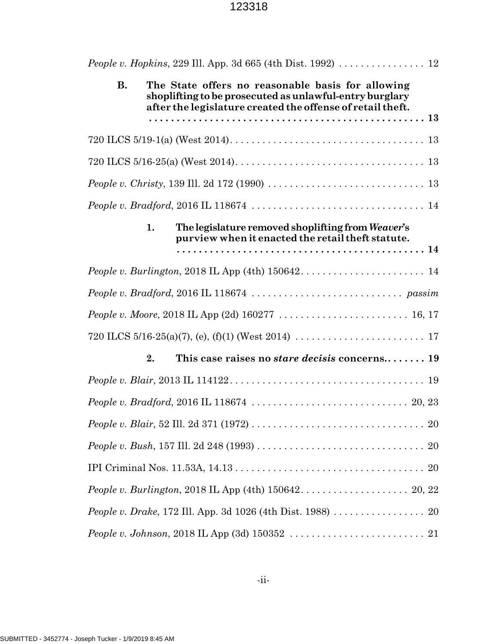| <i>People v. Hopkins, 229 III. App. 3d 665 (4th Dist. 1992) </i> 12                                                                                                                     |  |
|-----------------------------------------------------------------------------------------------------------------------------------------------------------------------------------------|--|
| <b>B.</b><br>The State offers no reasonable basis for allowing<br>shoplifting to be prosecuted as unlawful-entry burglary<br>after the legislature created the offense of retail theft. |  |
|                                                                                                                                                                                         |  |
|                                                                                                                                                                                         |  |
|                                                                                                                                                                                         |  |
|                                                                                                                                                                                         |  |
|                                                                                                                                                                                         |  |
| The legislature removed shoplifting from Weaver's<br>1.<br>purview when it enacted the retail theft statute.                                                                            |  |
|                                                                                                                                                                                         |  |
|                                                                                                                                                                                         |  |
|                                                                                                                                                                                         |  |
|                                                                                                                                                                                         |  |
|                                                                                                                                                                                         |  |
| This case raises no <i>stare decisis</i> concerns 19<br>2.                                                                                                                              |  |
|                                                                                                                                                                                         |  |
|                                                                                                                                                                                         |  |
|                                                                                                                                                                                         |  |
|                                                                                                                                                                                         |  |
|                                                                                                                                                                                         |  |
| People v. Burlington, 2018 IL App (4th) $150642$ $\dots$ $\dots$ $\dots$ $\dots$ $\dots$ $20$ , 22                                                                                      |  |
| People v. Drake, 172 Ill. App. 3d 1026 (4th Dist. 1988) 20                                                                                                                              |  |
|                                                                                                                                                                                         |  |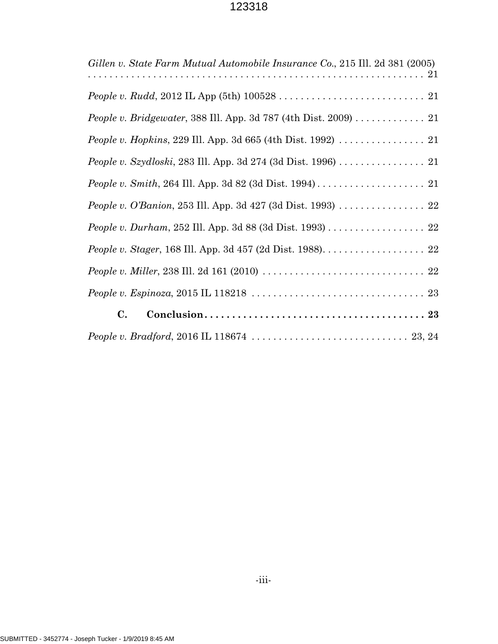| Gillen v. State Farm Mutual Automobile Insurance Co., 215 Ill. 2d 381 (2005)                             |
|----------------------------------------------------------------------------------------------------------|
|                                                                                                          |
| <i>People v. Bridgewater, 388 III. App. 3d 787 (4th Dist. 2009)</i> $\ldots \ldots \ldots 21$            |
|                                                                                                          |
| People v. Szydloski, 283 Ill. App. 3d 274 (3d Dist. 1996) 21                                             |
|                                                                                                          |
| <i>People v. O'Banion</i> , 253 Ill. App. 3d 427 (3d Dist. 1993) $\ldots \ldots \ldots \ldots \ldots 22$ |
| People v. Durham, 252 Ill. App. 3d 88 (3d Dist. 1993) 22                                                 |
|                                                                                                          |
|                                                                                                          |
|                                                                                                          |
| $\mathbf{C}$ .                                                                                           |
|                                                                                                          |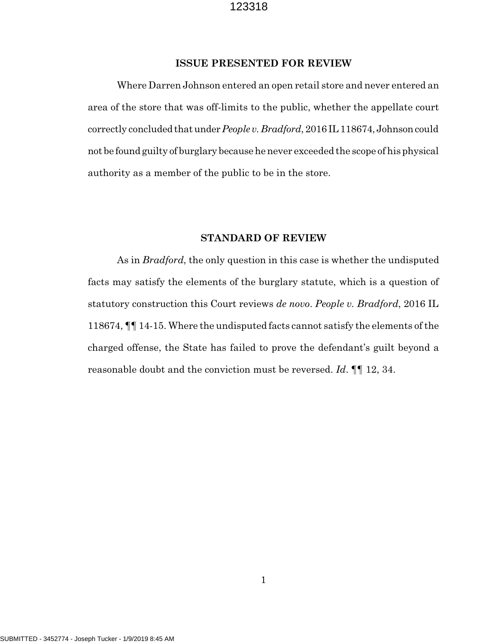### **ISSUE PRESENTED FOR REVIEW**

Where Darren Johnson entered an open retail store and never entered an area of the store that was off-limits to the public, whether the appellate court correctly concluded that under *People v. Bradford*, 2016 IL 118674, Johnson could not be found guilty of burglary because he never exceeded the scope of his physical authority as a member of the public to be in the store.

### **STANDARD OF REVIEW**

As in *Bradford*, the only question in this case is whether the undisputed facts may satisfy the elements of the burglary statute, which is a question of statutory construction this Court reviews *de novo*. *People v. Bradford*, 2016 IL 118674, ¶¶ 14-15. Where the undisputed facts cannot satisfy the elements of the charged offense, the State has failed to prove the defendant's guilt beyond a reasonable doubt and the conviction must be reversed. *Id*. ¶¶ 12, 34.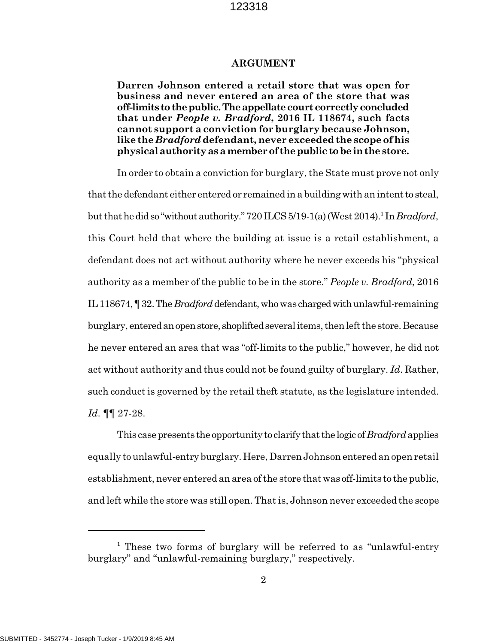#### **ARGUMENT**

**Darren Johnson entered a retail store that was open for business and never entered an area of the store that was off-limits to the public. The appellate court correctly concluded that under** *People v. Bradford***, 2016 IL 118674, such facts cannot support a conviction for burglary because Johnson, like the** *Bradford* **defendant, never exceeded the scope of his physical authority as a member of the public to be in the store.**

In order to obtain a conviction for burglary, the State must prove not only that the defendant either entered or remained in a building with an intent to steal, but that he did so "without authority." 720 ILCS 5/19-1(a) (West 2014).<sup>1</sup> In *Bradford*, this Court held that where the building at issue is a retail establishment, a defendant does not act without authority where he never exceeds his "physical authority as a member of the public to be in the store." *People v. Bradford*, 2016 IL 118674, ¶ 32. The *Bradford* defendant, who was charged with unlawful-remaining burglary, entered an open store, shoplifted several items, then left the store. Because he never entered an area that was "off-limits to the public," however, he did not act without authority and thus could not be found guilty of burglary. *Id*. Rather, such conduct is governed by the retail theft statute, as the legislature intended. *Id*. ¶¶ 27-28.

This case presents the opportunity to clarify that the logic of *Bradford* applies equally to unlawful-entry burglary. Here, Darren Johnson entered an open retail establishment, never entered an area of the store that was off-limits to the public, and left while the store was still open. That is, Johnson never exceeded the scope

<sup>&</sup>lt;sup>1</sup> These two forms of burglary will be referred to as "unlawful-entry burglary" and "unlawful-remaining burglary," respectively.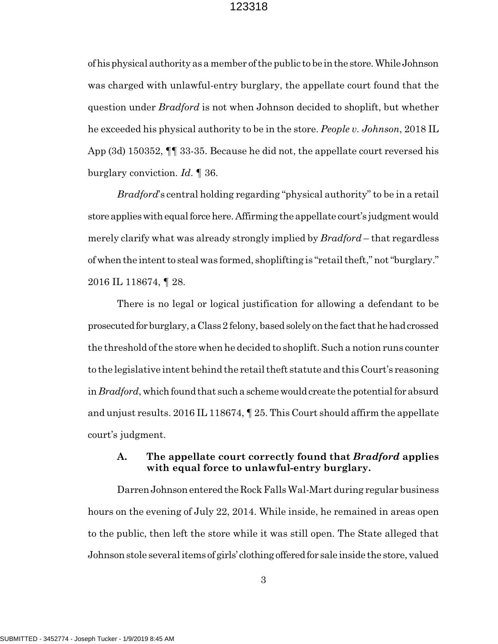of his physical authority as a member of the public to be in the store. While Johnson was charged with unlawful-entry burglary, the appellate court found that the question under *Bradford* is not when Johnson decided to shoplift, but whether he exceeded his physical authority to be in the store. *People v. Johnson*, 2018 IL App (3d) 150352, ¶¶ 33-35. Because he did not, the appellate court reversed his burglary conviction. *Id*. ¶ 36.

*Bradford*'s central holding regarding "physical authority" to be in a retail store applies with equal force here. Affirming the appellate court's judgment would merely clarify what was already strongly implied by *Bradford* – that regardless of when the intent to steal was formed, shoplifting is "retail theft," not "burglary." 2016 IL 118674, ¶ 28.

There is no legal or logical justification for allowing a defendant to be prosecuted for burglary, a Class 2 felony, based solely on the fact that he had crossed the threshold of the store when he decided to shoplift. Such a notion runs counter to the legislative intent behind the retail theft statute and this Court's reasoning in *Bradford*, which found that such a scheme would create the potential for absurd and unjust results. 2016 IL 118674, ¶ 25. This Court should affirm the appellate court's judgment.

# **A. The appellate court correctly found that** *Bradford* **applies with equal force to unlawful-entry burglary.**

Darren Johnson entered the Rock Falls Wal-Mart during regular business hours on the evening of July 22, 2014. While inside, he remained in areas open to the public, then left the store while it was still open. The State alleged that Johnson stole several items of girls' clothing offered for sale inside the store, valued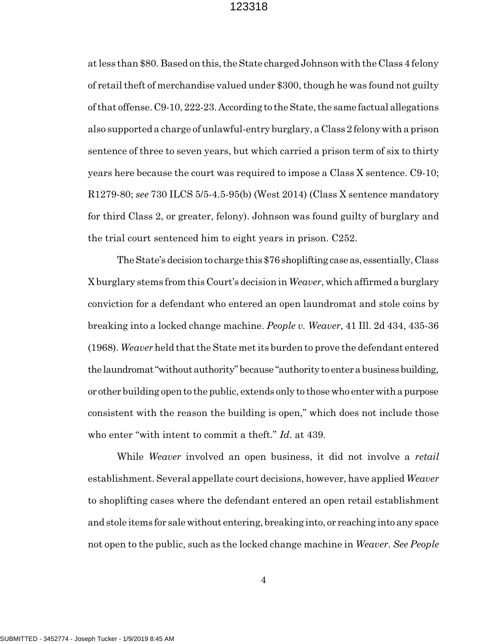at less than \$80. Based on this, the State charged Johnson with the Class 4 felony of retail theft of merchandise valued under \$300, though he was found not guilty of that offense. C9-10, 222-23. According to the State, the same factual allegations also supported a charge of unlawful-entry burglary, a Class 2 felony with a prison sentence of three to seven years, but which carried a prison term of six to thirty years here because the court was required to impose a Class X sentence. C9-10; R1279-80; *see* 730 ILCS 5/5-4.5-95(b) (West 2014) (Class X sentence mandatory for third Class 2, or greater, felony). Johnson was found guilty of burglary and the trial court sentenced him to eight years in prison. C252.

The State's decision to charge this \$76 shoplifting case as, essentially, Class X burglary stems from this Court's decision in *Weaver*, which affirmed a burglary conviction for a defendant who entered an open laundromat and stole coins by breaking into a locked change machine. *People v. Weaver*, 41 Ill. 2d 434, 435-36 (1968). *Weaver* held that the State met its burden to prove the defendant entered the laundromat "without authority" because "authority to enter a business building, or other building open to the public, extends only to those who enter with a purpose consistent with the reason the building is open," which does not include those who enter "with intent to commit a theft." *Id*. at 439.

While *Weaver* involved an open business, it did not involve a *retail* establishment. Several appellate court decisions, however, have applied *Weaver* to shoplifting cases where the defendant entered an open retail establishment and stole items for sale without entering, breaking into, or reaching into any space not open to the public, such as the locked change machine in *Weaver*. *See People*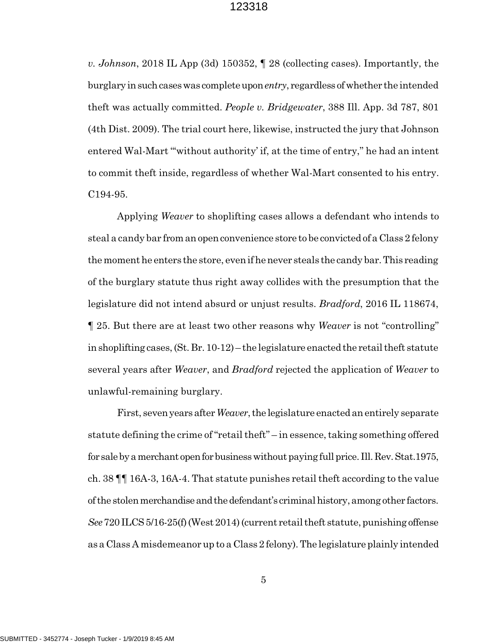*v. Johnson*, 2018 IL App (3d) 150352, ¶ 28 (collecting cases). Importantly, the burglary in such cases was complete upon *entry*, regardless of whether the intended theft was actually committed. *People v. Bridgewater*, 388 Ill. App. 3d 787, 801 (4th Dist. 2009). The trial court here, likewise, instructed the jury that Johnson entered Wal-Mart "'without authority' if, at the time of entry," he had an intent to commit theft inside, regardless of whether Wal-Mart consented to his entry. C194-95.

Applying *Weaver* to shoplifting cases allows a defendant who intends to steal a candy bar from an open convenience store to be convicted of a Class 2 felony the moment he enters the store, even if he never steals the candy bar. This reading of the burglary statute thus right away collides with the presumption that the legislature did not intend absurd or unjust results. *Bradford*, 2016 IL 118674, ¶ 25. But there are at least two other reasons why *Weaver* is not "controlling" in shoplifting cases, (St. Br. 10-12) – the legislature enacted the retail theft statute several years after *Weaver*, and *Bradford* rejected the application of *Weaver* to unlawful-remaining burglary.

First, seven years after *Weaver*, the legislature enacted an entirely separate statute defining the crime of "retail theft" – in essence, taking something offered for sale by a merchant open for business without paying full price. Ill. Rev. Stat.1975, ch. 38 ¶¶ 16A-3, 16A-4. That statute punishes retail theft according to the value of the stolen merchandise and the defendant's criminal history, among other factors. *See* 720 ILCS 5/16-25(f) (West 2014) (current retail theft statute, punishing offense as a Class A misdemeanor up to a Class 2 felony). The legislature plainly intended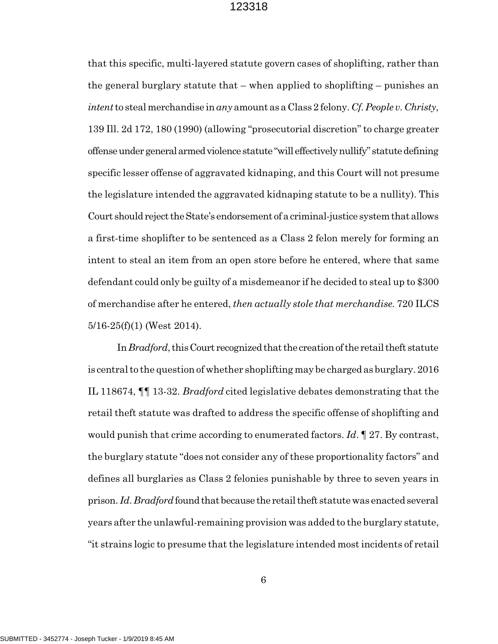that this specific, multi-layered statute govern cases of shoplifting, rather than the general burglary statute that – when applied to shoplifting – punishes an *intent* to steal merchandise in *any* amount as a Class 2 felony. *Cf. People v. Christy*, 139 Ill. 2d 172, 180 (1990) (allowing "prosecutorial discretion" to charge greater offense under general armed violence statute "will effectively nullify" statute defining specific lesser offense of aggravated kidnaping, and this Court will not presume the legislature intended the aggravated kidnaping statute to be a nullity). This Court should reject the State's endorsement of a criminal-justice system that allows a first-time shoplifter to be sentenced as a Class 2 felon merely for forming an intent to steal an item from an open store before he entered, where that same defendant could only be guilty of a misdemeanor if he decided to steal up to \$300 of merchandise after he entered, *then actually stole that merchandise*. 720 ILCS 5/16-25(f)(1) (West 2014).

In *Bradford*, this Court recognized that the creation of the retail theft statute is central to the question of whether shoplifting may be charged as burglary. 2016 IL 118674, ¶¶ 13-32. *Bradford* cited legislative debates demonstrating that the retail theft statute was drafted to address the specific offense of shoplifting and would punish that crime according to enumerated factors. *Id*. ¶ 27. By contrast, the burglary statute "does not consider any of these proportionality factors" and defines all burglaries as Class 2 felonies punishable by three to seven years in prison. *Id*. *Bradford* found that because the retail theft statute was enacted several years after the unlawful-remaining provision was added to the burglary statute, "it strains logic to presume that the legislature intended most incidents of retail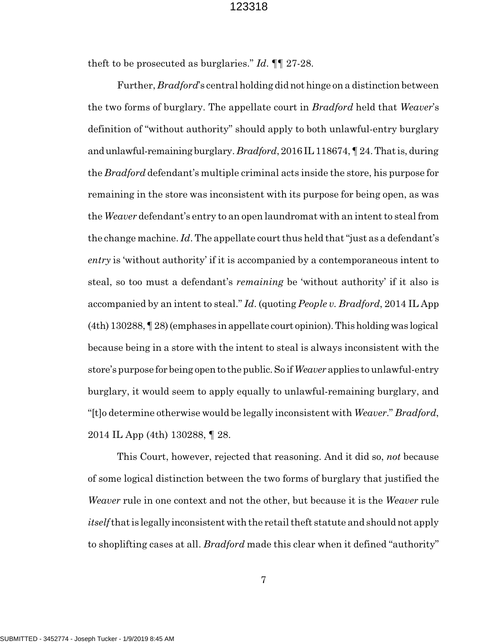theft to be prosecuted as burglaries." *Id*. ¶¶ 27-28.

Further, *Bradford*'s central holding did not hinge on a distinction between the two forms of burglary. The appellate court in *Bradford* held that *Weaver*'s definition of "without authority" should apply to both unlawful-entry burglary and unlawful-remaining burglary. *Bradford*, 2016 IL 118674, ¶ 24. That is, during the *Bradford* defendant's multiple criminal acts inside the store, his purpose for remaining in the store was inconsistent with its purpose for being open, as was the *Weaver* defendant's entry to an open laundromat with an intent to steal from the change machine. *Id*. The appellate court thus held that "just as a defendant's *entry* is 'without authority' if it is accompanied by a contemporaneous intent to steal, so too must a defendant's *remaining* be 'without authority' if it also is accompanied by an intent to steal." *Id*. (quoting *People v. Bradford*, 2014 IL App (4th) 130288, ¶ 28) (emphases in appellate court opinion). This holding was logical because being in a store with the intent to steal is always inconsistent with the store's purpose for being open to the public. So if *Weaver* applies to unlawful-entry burglary, it would seem to apply equally to unlawful-remaining burglary, and "[t]o determine otherwise would be legally inconsistent with *Weaver*." *Bradford*, 2014 IL App (4th) 130288, ¶ 28.

This Court, however, rejected that reasoning. And it did so, *not* because of some logical distinction between the two forms of burglary that justified the *Weaver* rule in one context and not the other, but because it is the *Weaver* rule *itself* that is legally inconsistent with the retail theft statute and should not apply to shoplifting cases at all. *Bradford* made this clear when it defined "authority"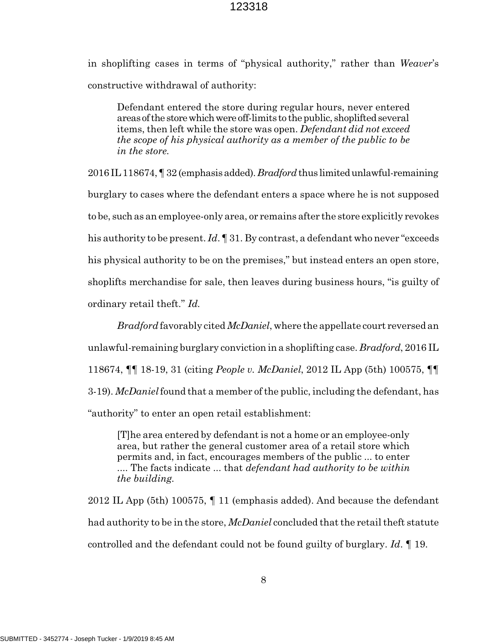in shoplifting cases in terms of "physical authority," rather than *Weaver*'s constructive withdrawal of authority:

Defendant entered the store during regular hours, never entered areas of the store which were off-limits to the public, shoplifted several items, then left while the store was open. *Defendant did not exceed the scope of his physical authority as a member of the public to be in the store.*

2016 IL 118674, ¶ 32 (emphasis added). *Bradford* thus limited unlawful-remaining burglary to cases where the defendant enters a space where he is not supposed to be, such as an employee-only area, or remains after the store explicitly revokes his authority to be present. *Id*. ¶ 31. By contrast, a defendant who never "exceeds his physical authority to be on the premises," but instead enters an open store, shoplifts merchandise for sale, then leaves during business hours, "is guilty of ordinary retail theft." *Id.*

*Bradford* favorably cited *McDaniel*, where the appellate court reversed an unlawful-remaining burglary conviction in a shoplifting case. *Bradford*, 2016 IL 118674, ¶¶ 18-19, 31 (citing *People v. McDaniel*, 2012 IL App (5th) 100575, ¶¶ 3-19). *McDaniel* found that a member of the public, including the defendant, has "authority" to enter an open retail establishment:

[T]he area entered by defendant is not a home or an employee-only area, but rather the general customer area of a retail store which permits and, in fact, encourages members of the public ... to enter .... The facts indicate ... that *defendant had authority to be within the building.*

2012 IL App (5th) 100575, ¶ 11 (emphasis added). And because the defendant had authority to be in the store, *McDaniel* concluded that the retail theft statute controlled and the defendant could not be found guilty of burglary. *Id*. ¶ 19.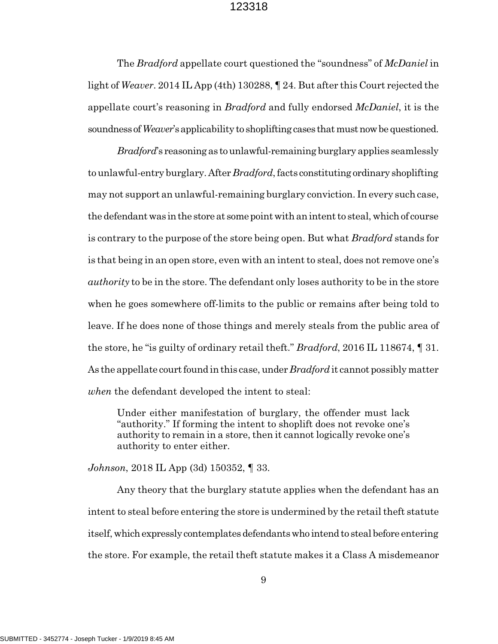The *Bradford* appellate court questioned the "soundness" of *McDaniel* in light of *Weaver*. 2014 IL App (4th) 130288, ¶ 24. But after this Court rejected the appellate court's reasoning in *Bradford* and fully endorsed *McDaniel*, it is the soundness of *Weaver*'s applicability to shoplifting cases that must now be questioned.

*Bradford*'s reasoning as to unlawful-remaining burglary applies seamlessly to unlawful-entry burglary. After *Bradford*, facts constituting ordinary shoplifting may not support an unlawful-remaining burglary conviction. In every such case, the defendant was in the store at some point with an intent to steal, which of course is contrary to the purpose of the store being open. But what *Bradford* stands for is that being in an open store, even with an intent to steal, does not remove one's *authority* to be in the store. The defendant only loses authority to be in the store when he goes somewhere off-limits to the public or remains after being told to leave. If he does none of those things and merely steals from the public area of the store, he "is guilty of ordinary retail theft." *Bradford*, 2016 IL 118674, ¶ 31. As the appellate court found in this case, under *Bradford* it cannot possibly matter *when* the defendant developed the intent to steal:

Under either manifestation of burglary, the offender must lack "authority." If forming the intent to shoplift does not revoke one's authority to remain in a store, then it cannot logically revoke one's authority to enter either.

*Johnson*, 2018 IL App (3d) 150352, ¶ 33.

Any theory that the burglary statute applies when the defendant has an intent to steal before entering the store is undermined by the retail theft statute itself, which expressly contemplates defendants who intend to steal before entering the store. For example, the retail theft statute makes it a Class A misdemeanor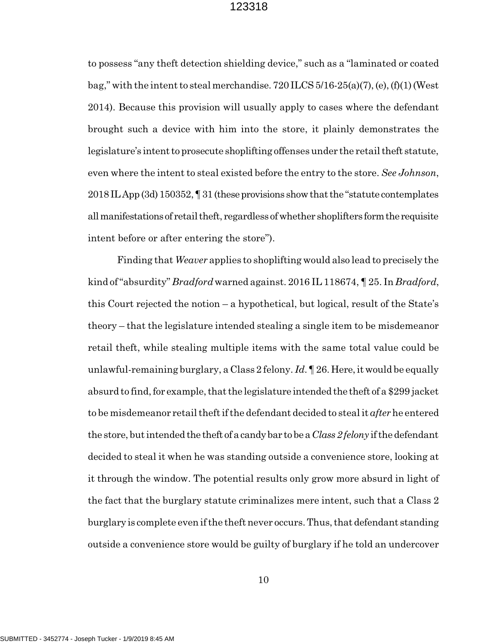to possess "any theft detection shielding device," such as a "laminated or coated bag," with the intent to steal merchandise.  $720$  ILCS  $5/16-25(a)(7)$ , (e), (f)(1) (West 2014). Because this provision will usually apply to cases where the defendant brought such a device with him into the store, it plainly demonstrates the legislature's intent to prosecute shoplifting offenses under the retail theft statute, even where the intent to steal existed before the entry to the store. *See Johnson*, 2018 IL App (3d) 150352, ¶ 31 (these provisions show that the "statute contemplates all manifestations of retail theft, regardless of whether shoplifters form the requisite intent before or after entering the store").

Finding that *Weaver* applies to shoplifting would also lead to precisely the kind of "absurdity" *Bradford* warned against. 2016 IL 118674, ¶ 25. In *Bradford*, this Court rejected the notion – a hypothetical, but logical, result of the State's theory – that the legislature intended stealing a single item to be misdemeanor retail theft, while stealing multiple items with the same total value could be unlawful-remaining burglary, a Class 2 felony. *Id*. ¶ 26. Here, it would be equally absurd to find, for example, that the legislature intended the theft of a \$299 jacket to be misdemeanor retail theft if the defendant decided to steal it *after* he entered the store, but intended the theft of a candy bar to be a *Class 2 felony* if the defendant decided to steal it when he was standing outside a convenience store, looking at it through the window. The potential results only grow more absurd in light of the fact that the burglary statute criminalizes mere intent, such that a Class 2 burglary is complete even if the theft never occurs. Thus, that defendant standing outside a convenience store would be guilty of burglary if he told an undercover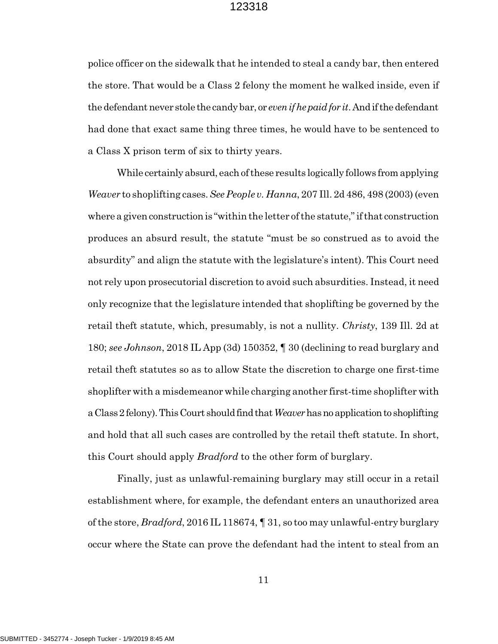police officer on the sidewalk that he intended to steal a candy bar, then entered the store. That would be a Class 2 felony the moment he walked inside, even if the defendant never stole the candy bar, or *even if he paid for it*. And if the defendant had done that exact same thing three times, he would have to be sentenced to a Class X prison term of six to thirty years.

While certainly absurd, each of these results logically follows from applying *Weaver* to shoplifting cases. *See People v. Hanna*, 207 Ill. 2d 486, 498 (2003) (even where a given construction is "within the letter of the statute," if that construction produces an absurd result, the statute "must be so construed as to avoid the absurdity" and align the statute with the legislature's intent). This Court need not rely upon prosecutorial discretion to avoid such absurdities. Instead, it need only recognize that the legislature intended that shoplifting be governed by the retail theft statute, which, presumably, is not a nullity. *Christy*, 139 Ill. 2d at 180; *see Johnson*, 2018 IL App (3d) 150352, ¶ 30 (declining to read burglary and retail theft statutes so as to allow State the discretion to charge one first-time shoplifter with a misdemeanor while charging another first-time shoplifter with a Class 2 felony). This Court should find that *Weaver* has no application to shoplifting and hold that all such cases are controlled by the retail theft statute. In short, this Court should apply *Bradford* to the other form of burglary.

Finally, just as unlawful-remaining burglary may still occur in a retail establishment where, for example, the defendant enters an unauthorized area of the store, *Bradford*, 2016 IL 118674, ¶ 31, so too may unlawful-entry burglary occur where the State can prove the defendant had the intent to steal from an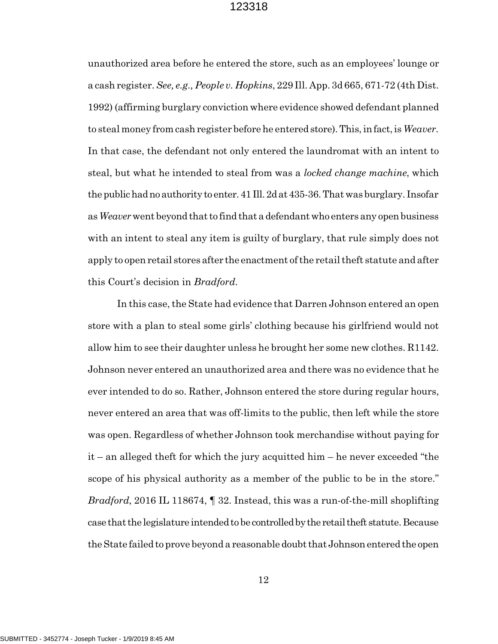unauthorized area before he entered the store, such as an employees' lounge or a cash register. *See, e.g., People v. Hopkins*, 229 Ill. App. 3d 665, 671-72 (4th Dist. 1992) (affirming burglary conviction where evidence showed defendant planned to steal money from cash register before he entered store). This, in fact, is *Weaver*. In that case, the defendant not only entered the laundromat with an intent to steal, but what he intended to steal from was a *locked change machine*, which the public had no authority to enter. 41 Ill. 2d at 435-36. That was burglary. Insofar as *Weaver* went beyond that to find that a defendant who enters any open business with an intent to steal any item is guilty of burglary, that rule simply does not apply to open retail stores after the enactment of the retail theft statute and after this Court's decision in *Bradford*.

In this case, the State had evidence that Darren Johnson entered an open store with a plan to steal some girls' clothing because his girlfriend would not allow him to see their daughter unless he brought her some new clothes. R1142. Johnson never entered an unauthorized area and there was no evidence that he ever intended to do so. Rather, Johnson entered the store during regular hours, never entered an area that was off-limits to the public, then left while the store was open. Regardless of whether Johnson took merchandise without paying for it – an alleged theft for which the jury acquitted him – he never exceeded "the scope of his physical authority as a member of the public to be in the store." *Bradford*, 2016 IL 118674, ¶ 32. Instead, this was a run-of-the-mill shoplifting case that the legislature intended to be controlled by the retail theft statute. Because the State failed to prove beyond a reasonable doubt that Johnson entered the open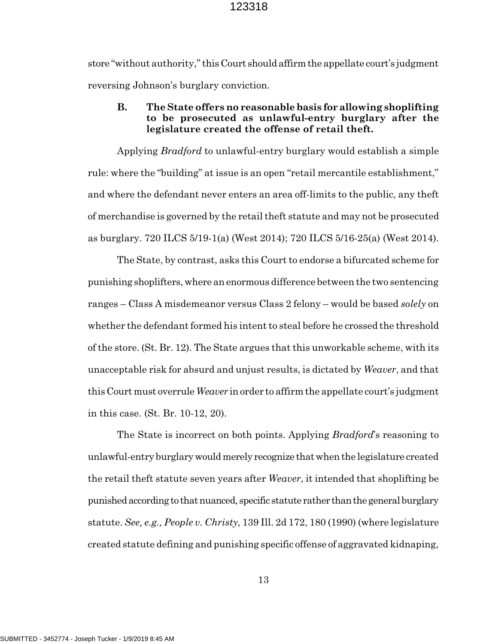store "without authority," this Court should affirm the appellate court's judgment reversing Johnson's burglary conviction.

# **B. The State offers no reasonable basis for allowing shoplifting to be prosecuted as unlawful-entry burglary after the legislature created the offense of retail theft.**

Applying *Bradford* to unlawful-entry burglary would establish a simple rule: where the "building" at issue is an open "retail mercantile establishment," and where the defendant never enters an area off-limits to the public, any theft of merchandise is governed by the retail theft statute and may not be prosecuted as burglary. 720 ILCS 5/19-1(a) (West 2014); 720 ILCS 5/16-25(a) (West 2014).

The State, by contrast, asks this Court to endorse a bifurcated scheme for punishing shoplifters, where an enormous difference between the two sentencing ranges – Class A misdemeanor versus Class 2 felony – would be based *solely* on whether the defendant formed his intent to steal before he crossed the threshold of the store. (St. Br. 12). The State argues that this unworkable scheme, with its unacceptable risk for absurd and unjust results, is dictated by *Weaver*, and that this Court must overrule *Weaver* in order to affirm the appellate court's judgment in this case. (St. Br. 10-12, 20).

The State is incorrect on both points. Applying *Bradford*'s reasoning to unlawful-entry burglary would merely recognize that when the legislature created the retail theft statute seven years after *Weaver*, it intended that shoplifting be punished according to that nuanced, specific statute rather than the general burglary statute. *See, e.g., People v. Christy*, 139 Ill. 2d 172, 180 (1990) (where legislature created statute defining and punishing specific offense of aggravated kidnaping,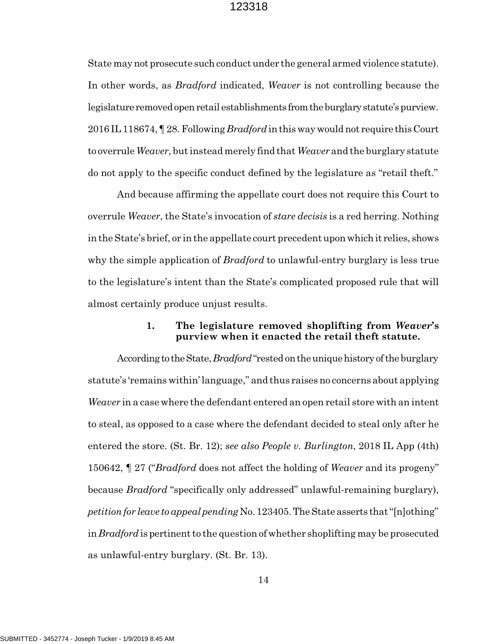State may not prosecute such conduct under the general armed violence statute). In other words, as *Bradford* indicated, *Weaver* is not controlling because the legislature removed open retail establishments from the burglary statute's purview. 2016 IL 118674, ¶ 28. Following *Bradford* in this way would not require this Court to overrule *Weaver*, but instead merely find that *Weaver* and the burglary statute do not apply to the specific conduct defined by the legislature as "retail theft."

And because affirming the appellate court does not require this Court to overrule *Weaver*, the State's invocation of *stare decisis* is a red herring. Nothing in the State's brief, or in the appellate court precedent upon which it relies, shows why the simple application of *Bradford* to unlawful-entry burglary is less true to the legislature's intent than the State's complicated proposed rule that will almost certainly produce unjust results.

### **1. The legislature removed shoplifting from** *Weaver***'s purview when it enacted the retail theft statute.**

According to the State, *Bradford* "rested on the unique history of the burglary statute's 'remains within' language," and thus raises no concerns about applying *Weaver* in a case where the defendant entered an open retail store with an intent to steal, as opposed to a case where the defendant decided to steal only after he entered the store. (St. Br. 12); *see also People v. Burlington*, 2018 IL App (4th) 150642, ¶ 27 ("*Bradford* does not affect the holding of *Weaver* and its progeny" because *Bradford* "specifically only addressed" unlawful-remaining burglary), *petition for leave to appeal pending* No. 123405. The State asserts that "[n]othing" in *Bradford* is pertinent to the question of whether shoplifting may be prosecuted as unlawful-entry burglary. (St. Br. 13).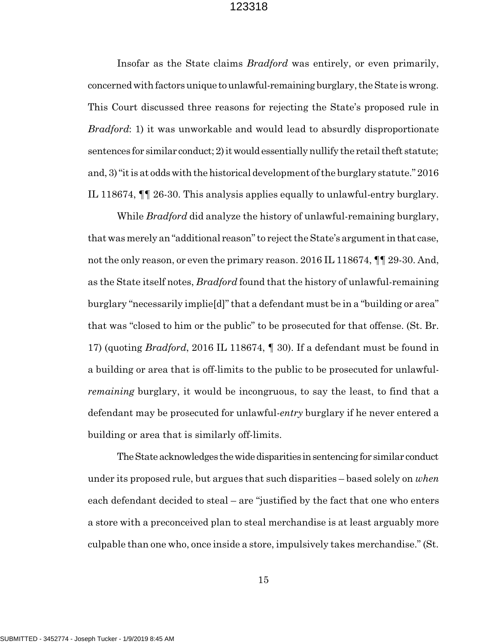Insofar as the State claims *Bradford* was entirely, or even primarily, concerned with factors unique to unlawful-remaining burglary, the State is wrong. This Court discussed three reasons for rejecting the State's proposed rule in *Bradford*: 1) it was unworkable and would lead to absurdly disproportionate sentences for similar conduct; 2) it would essentially nullify the retail theft statute; and, 3) "it is at odds with the historical development of the burglary statute." 2016 IL 118674, ¶¶ 26-30. This analysis applies equally to unlawful-entry burglary.

While *Bradford* did analyze the history of unlawful-remaining burglary, that was merely an "additional reason" to reject the State's argument in that case, not the only reason, or even the primary reason. 2016 IL 118674,  $\P\P$  29-30. And, as the State itself notes, *Bradford* found that the history of unlawful-remaining burglary "necessarily implie[d]" that a defendant must be in a "building or area" that was "closed to him or the public" to be prosecuted for that offense. (St. Br. 17) (quoting *Bradford*, 2016 IL 118674, ¶ 30). If a defendant must be found in a building or area that is off-limits to the public to be prosecuted for unlawful*remaining* burglary, it would be incongruous, to say the least, to find that a defendant may be prosecuted for unlawful-*entry* burglary if he never entered a building or area that is similarly off-limits.

The State acknowledges the wide disparities in sentencing for similar conduct under its proposed rule, but argues that such disparities – based solely on *when* each defendant decided to steal – are "justified by the fact that one who enters a store with a preconceived plan to steal merchandise is at least arguably more culpable than one who, once inside a store, impulsively takes merchandise." (St.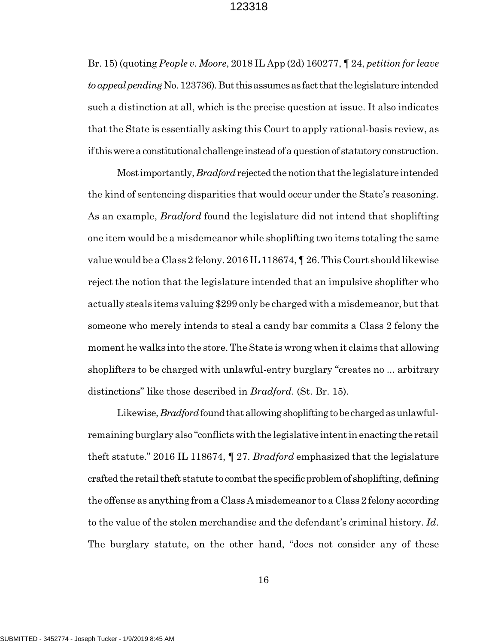Br. 15) (quoting *People v. Moore*, 2018 IL App (2d) 160277, ¶ 24, *petition for leave to appeal pending* No. 123736). But this assumes as fact that the legislature intended such a distinction at all, which is the precise question at issue. It also indicates that the State is essentially asking this Court to apply rational-basis review, as if this were a constitutional challenge instead of a question of statutory construction.

Most importantly, *Bradford* rejected the notion that the legislature intended the kind of sentencing disparities that would occur under the State's reasoning. As an example, *Bradford* found the legislature did not intend that shoplifting one item would be a misdemeanor while shoplifting two items totaling the same value would be a Class 2 felony. 2016 IL 118674, ¶ 26. This Court should likewise reject the notion that the legislature intended that an impulsive shoplifter who actually steals items valuing \$299 only be charged with a misdemeanor, but that someone who merely intends to steal a candy bar commits a Class 2 felony the moment he walks into the store. The State is wrong when it claims that allowing shoplifters to be charged with unlawful-entry burglary "creates no ... arbitrary distinctions" like those described in *Bradford*. (St. Br. 15).

Likewise, *Bradford* found that allowing shoplifting to be charged as unlawfulremaining burglary also "conflicts with the legislative intent in enacting the retail theft statute." 2016 IL 118674, ¶ 27. *Bradford* emphasized that the legislature crafted the retail theft statute to combat the specific problem of shoplifting, defining the offense as anything from a Class A misdemeanor to a Class 2 felony according to the value of the stolen merchandise and the defendant's criminal history. *Id*. The burglary statute, on the other hand, "does not consider any of these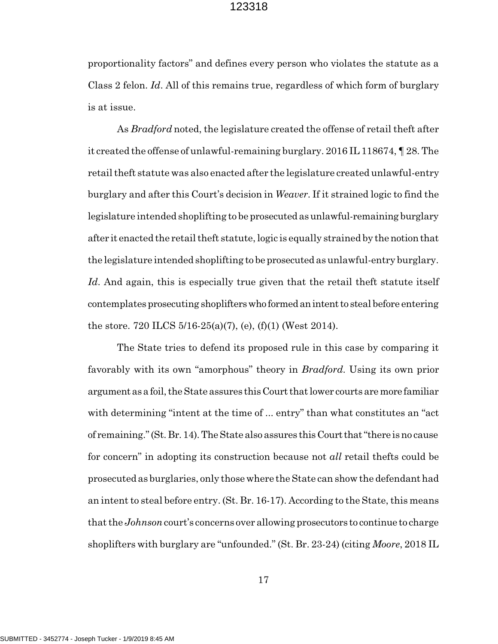proportionality factors" and defines every person who violates the statute as a Class 2 felon. *Id*. All of this remains true, regardless of which form of burglary is at issue.

As *Bradford* noted, the legislature created the offense of retail theft after it created the offense of unlawful-remaining burglary. 2016 IL 118674, ¶ 28. The retail theft statute was also enacted after the legislature created unlawful-entry burglary and after this Court's decision in *Weaver*. If it strained logic to find the legislature intended shoplifting to be prosecuted as unlawful-remaining burglary after it enacted the retail theft statute, logic is equally strained by the notion that the legislature intended shoplifting to be prosecuted as unlawful-entry burglary. *Id*. And again, this is especially true given that the retail theft statute itself contemplates prosecuting shoplifters who formed an intent to steal before entering the store. 720 ILCS  $5/16-25(a)(7)$ , (e), (f)(1) (West 2014).

The State tries to defend its proposed rule in this case by comparing it favorably with its own "amorphous" theory in *Bradford*. Using its own prior argument as a foil, the State assures this Court that lower courts are more familiar with determining "intent at the time of ... entry" than what constitutes an "act of remaining." (St. Br. 14). The State also assures this Court that "there is no cause for concern" in adopting its construction because not *all* retail thefts could be prosecuted as burglaries, only those where the State can show the defendant had an intent to steal before entry. (St. Br. 16-17). According to the State, this means that the *Johnson* court's concerns over allowing prosecutors to continue to charge shoplifters with burglary are "unfounded." (St. Br. 23-24) (citing *Moore*, 2018 IL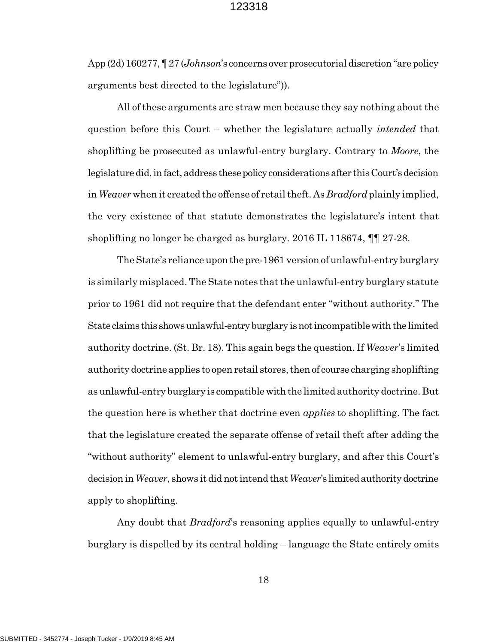App (2d) 160277, ¶ 27 (*Johnson*'s concerns over prosecutorial discretion "are policy arguments best directed to the legislature")).

All of these arguments are straw men because they say nothing about the question before this Court – whether the legislature actually *intended* that shoplifting be prosecuted as unlawful-entry burglary. Contrary to *Moore*, the legislature did, in fact, address these policy considerations after this Court's decision in *Weaver* when it created the offense of retail theft. As *Bradford* plainly implied, the very existence of that statute demonstrates the legislature's intent that shoplifting no longer be charged as burglary. 2016 IL 118674, ¶¶ 27-28.

The State's reliance upon the pre-1961 version of unlawful-entry burglary is similarly misplaced. The State notes that the unlawful-entry burglary statute prior to 1961 did not require that the defendant enter "without authority." The State claims this shows unlawful-entry burglary is not incompatible with the limited authority doctrine. (St. Br. 18). This again begs the question. If *Weaver*'s limited authority doctrine applies to open retail stores, then of course charging shoplifting as unlawful-entry burglary is compatible with the limited authority doctrine. But the question here is whether that doctrine even *applies* to shoplifting. The fact that the legislature created the separate offense of retail theft after adding the "without authority" element to unlawful-entry burglary, and after this Court's decision in *Weaver*, shows it did not intend that *Weaver*'s limited authority doctrine apply to shoplifting.

Any doubt that *Bradford*'s reasoning applies equally to unlawful-entry burglary is dispelled by its central holding – language the State entirely omits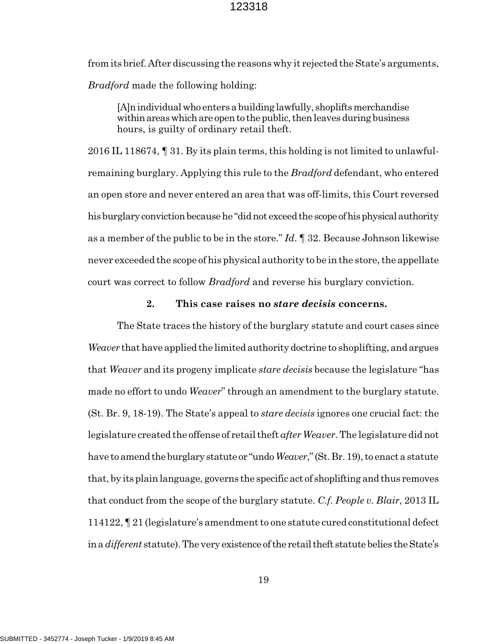from its brief. After discussing the reasons why it rejected the State's arguments, *Bradford* made the following holding:

[A]n individual who enters a building lawfully, shoplifts merchandise within areas which are open to the public, then leaves during business hours, is guilty of ordinary retail theft.

2016 IL 118674, ¶ 31. By its plain terms, this holding is not limited to unlawfulremaining burglary. Applying this rule to the *Bradford* defendant, who entered an open store and never entered an area that was off-limits, this Court reversed his burglary conviction because he "did not exceed the scope of his physical authority as a member of the public to be in the store." *Id*. ¶ 32. Because Johnson likewise never exceeded the scope of his physical authority to be in the store, the appellate court was correct to follow *Bradford* and reverse his burglary conviction.

# **2. This case raises no** *stare decisis* **concerns.**

The State traces the history of the burglary statute and court cases since *Weaver* that have applied the limited authority doctrine to shoplifting, and argues that *Weaver* and its progeny implicate *stare decisis* because the legislature "has made no effort to undo *Weaver*" through an amendment to the burglary statute. (St. Br. 9, 18-19). The State's appeal to *stare decisis* ignores one crucial fact: the legislature created the offense of retail theft *afterWeaver*. The legislature did not have to amend the burglary statute or "undo *Weaver*," (St. Br. 19), to enact a statute that, by its plain language, governs the specific act of shoplifting and thus removes that conduct from the scope of the burglary statute. *C.f. People v. Blair*, 2013 IL 114122, ¶ 21 (legislature's amendment to one statute cured constitutional defect in a *different* statute). The very existence of the retail theft statute belies the State's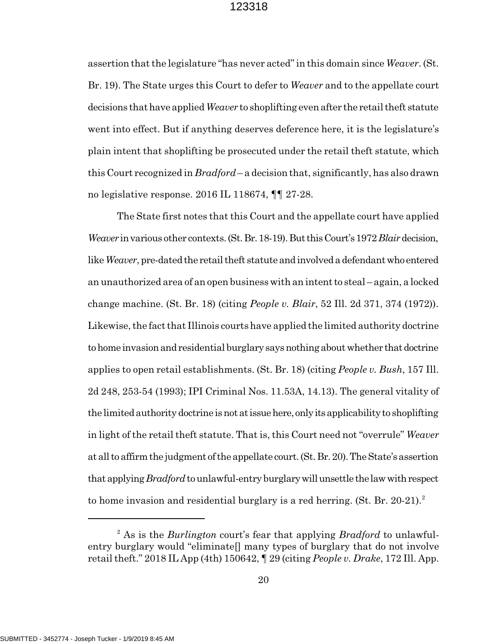assertion that the legislature "has never acted" in this domain since *Weaver*. (St. Br. 19). The State urges this Court to defer to *Weaver* and to the appellate court decisions that have applied *Weaver* to shoplifting even after the retail theft statute went into effect. But if anything deserves deference here, it is the legislature's plain intent that shoplifting be prosecuted under the retail theft statute, which this Court recognized in *Bradford* – a decision that, significantly, has also drawn no legislative response. 2016 IL 118674, ¶¶ 27-28.

The State first notes that this Court and the appellate court have applied *Weaver* in various other contexts. (St. Br. 18-19). But this Court's 1972 *Blair* decision, like *Weaver*, pre-dated the retail theft statute and involved a defendant who entered an unauthorized area of an open business with an intent to steal – again, a locked change machine. (St. Br. 18) (citing *People v. Blair*, 52 Ill. 2d 371, 374 (1972)). Likewise, the fact that Illinois courts have applied the limited authority doctrine to home invasion and residential burglary says nothing about whether that doctrine applies to open retail establishments. (St. Br. 18) (citing *People v. Bush*, 157 Ill. 2d 248, 253-54 (1993); IPI Criminal Nos. 11.53A, 14.13). The general vitality of the limited authority doctrine is not at issue here, only its applicability to shoplifting in light of the retail theft statute. That is, this Court need not "overrule" *Weaver* at all to affirm the judgment of the appellate court. (St. Br. 20). The State's assertion that applying *Bradford* to unlawful-entry burglary will unsettle the law with respect to home invasion and residential burglary is a red herring.  $(St. Br. 20-21).$ <sup>2</sup>

<sup>2</sup> As is the *Burlington* court's fear that applying *Bradford* to unlawfulentry burglary would "eliminate[] many types of burglary that do not involve retail theft." 2018 IL App (4th) 150642, ¶ 29 (citing *People v. Drake*, 172 Ill. App.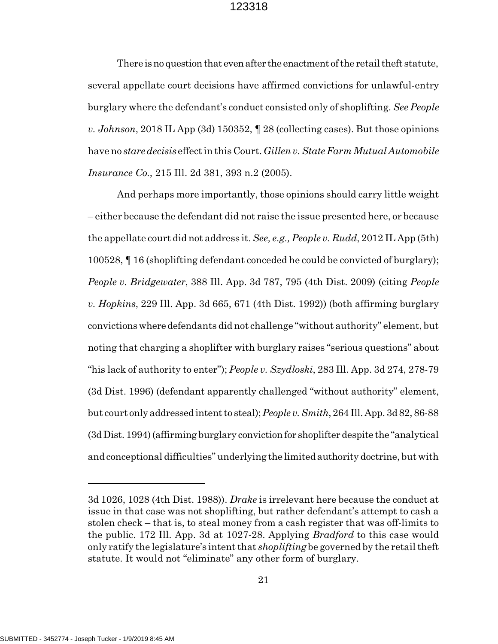There is no question that even after the enactment of the retail theft statute, several appellate court decisions have affirmed convictions for unlawful-entry burglary where the defendant's conduct consisted only of shoplifting. *See People v. Johnson*, 2018 IL App (3d) 150352, ¶ 28 (collecting cases). But those opinions have no *stare decisis* effect in this Court. *Gillen v. State Farm Mutual Automobile Insurance Co.*, 215 Ill. 2d 381, 393 n.2 (2005).

And perhaps more importantly, those opinions should carry little weight – either because the defendant did not raise the issue presented here, or because the appellate court did not address it. *See, e.g., People v. Rudd*, 2012 IL App (5th) 100528, ¶ 16 (shoplifting defendant conceded he could be convicted of burglary); *People v. Bridgewater*, 388 Ill. App. 3d 787, 795 (4th Dist. 2009) (citing *People v. Hopkins*, 229 Ill. App. 3d 665, 671 (4th Dist. 1992)) (both affirming burglary convictions where defendants did not challenge "without authority" element, but noting that charging a shoplifter with burglary raises "serious questions" about "his lack of authority to enter"); *People v. Szydloski*, 283 Ill. App. 3d 274, 278-79 (3d Dist. 1996) (defendant apparently challenged "without authority" element, but court only addressed intent to steal); *People v. Smith*, 264 Ill. App. 3d 82, 86-88 (3d Dist. 1994) (affirming burglary conviction for shoplifter despite the "analytical and conceptional difficulties" underlying the limited authority doctrine, but with

<sup>3</sup>d 1026, 1028 (4th Dist. 1988)). *Drake* is irrelevant here because the conduct at issue in that case was not shoplifting, but rather defendant's attempt to cash a stolen check – that is, to steal money from a cash register that was off-limits to the public. 172 Ill. App. 3d at 1027-28. Applying *Bradford* to this case would only ratify the legislature's intent that *shoplifting* be governed by the retail theft statute. It would not "eliminate" any other form of burglary.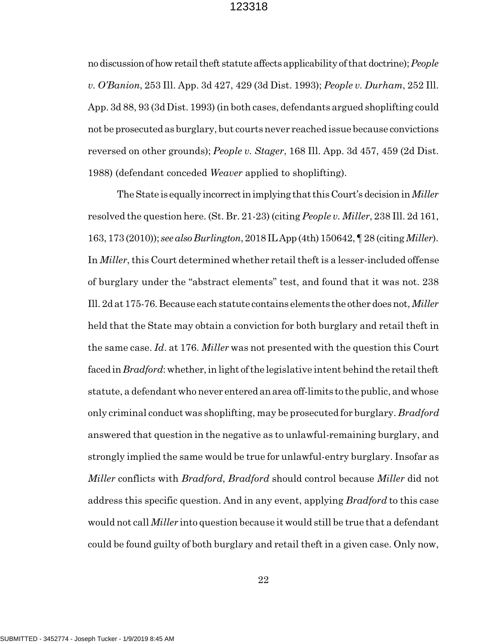no discussion of how retail theft statute affects applicability of that doctrine); *People v. O'Banion*, 253 Ill. App. 3d 427, 429 (3d Dist. 1993); *People v. Durham*, 252 Ill. App. 3d 88, 93 (3d Dist. 1993) (in both cases, defendants argued shoplifting could not be prosecuted as burglary, but courts never reached issue because convictions reversed on other grounds); *People v. Stager*, 168 Ill. App. 3d 457, 459 (2d Dist. 1988) (defendant conceded *Weaver* applied to shoplifting).

The State is equally incorrect in implying that this Court's decision in *Miller* resolved the question here. (St. Br. 21-23) (citing *People v. Miller*, 238 Ill. 2d 161, 163, 173 (2010)); *see also Burlington*, 2018 IL App (4th) 150642, ¶ 28 (citing *Miller*). In *Miller*, this Court determined whether retail theft is a lesser-included offense of burglary under the "abstract elements" test, and found that it was not. 238 Ill. 2d at 175-76. Because each statute contains elements the other does not, *Miller* held that the State may obtain a conviction for both burglary and retail theft in the same case. *Id*. at 176. *Miller* was not presented with the question this Court faced in *Bradford*: whether, in light of the legislative intent behind the retail theft statute, a defendant who never entered an area off-limits to the public, and whose only criminal conduct was shoplifting, may be prosecuted for burglary. *Bradford* answered that question in the negative as to unlawful-remaining burglary, and strongly implied the same would be true for unlawful-entry burglary. Insofar as *Miller* conflicts with *Bradford*, *Bradford* should control because *Miller* did not address this specific question. And in any event, applying *Bradford* to this case would not call *Miller* into question because it would still be true that a defendant could be found guilty of both burglary and retail theft in a given case. Only now,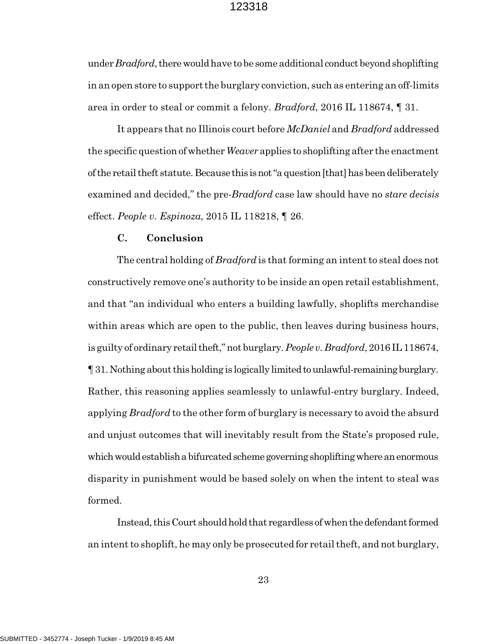under *Bradford*, there would have to be some additional conduct beyond shoplifting in an open store to support the burglary conviction, such as entering an off-limits area in order to steal or commit a felony. *Bradford*, 2016 IL 118674, ¶ 31.

It appears that no Illinois court before *McDaniel* and *Bradford* addressed the specific question of whether *Weaver* applies to shoplifting after the enactment of the retail theft statute. Because this is not "a question [that] has been deliberately examined and decided," the pre-*Bradford* case law should have no *stare decisis* effect. *People v. Espinoza*, 2015 IL 118218, ¶ 26.

# **C. Conclusion**

The central holding of *Bradford* is that forming an intent to steal does not constructively remove one's authority to be inside an open retail establishment, and that "an individual who enters a building lawfully, shoplifts merchandise within areas which are open to the public, then leaves during business hours, is guilty of ordinary retail theft," not burglary. *People v. Bradford*, 2016 IL 118674, ¶ 31. Nothing about this holding is logically limited to unlawful-remaining burglary. Rather, this reasoning applies seamlessly to unlawful-entry burglary. Indeed, applying *Bradford* to the other form of burglary is necessary to avoid the absurd and unjust outcomes that will inevitably result from the State's proposed rule, which would establish a bifurcated scheme governing shoplifting where an enormous disparity in punishment would be based solely on when the intent to steal was formed.

Instead, this Court should hold that regardless of when the defendant formed an intent to shoplift, he may only be prosecuted for retail theft, and not burglary,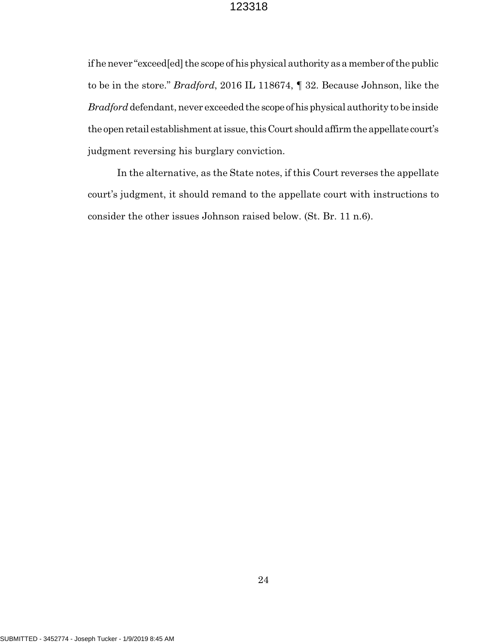if he never "exceed[ed] the scope of his physical authority as a member of the public to be in the store." *Bradford*, 2016 IL 118674, ¶ 32. Because Johnson, like the *Bradford* defendant, never exceeded the scope of his physical authority to be inside the open retail establishment at issue, this Court should affirm the appellate court's judgment reversing his burglary conviction.

In the alternative, as the State notes, if this Court reverses the appellate court's judgment, it should remand to the appellate court with instructions to consider the other issues Johnson raised below. (St. Br. 11 n.6).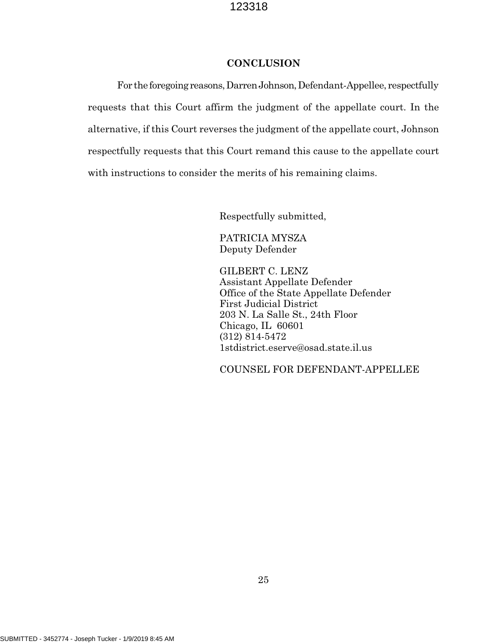### **CONCLUSION**

For the foregoing reasons, Darren Johnson, Defendant-Appellee, respectfully requests that this Court affirm the judgment of the appellate court. In the alternative, if this Court reverses the judgment of the appellate court, Johnson respectfully requests that this Court remand this cause to the appellate court with instructions to consider the merits of his remaining claims.

Respectfully submitted,

PATRICIA MYSZA Deputy Defender

GILBERT C. LENZ Assistant Appellate Defender Office of the State Appellate Defender First Judicial District 203 N. La Salle St., 24th Floor Chicago, IL 60601 (312) 814-5472 1stdistrict.eserve@osad.state.il.us

COUNSEL FOR DEFENDANT-APPELLEE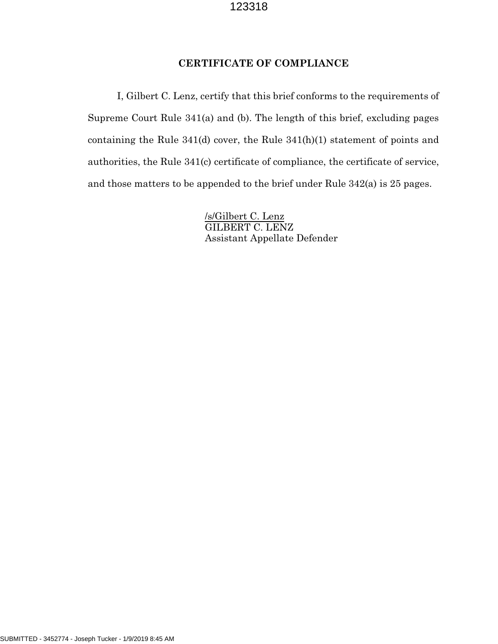# **CERTIFICATE OF COMPLIANCE**

I, Gilbert C. Lenz, certify that this brief conforms to the requirements of Supreme Court Rule 341(a) and (b). The length of this brief, excluding pages containing the Rule 341(d) cover, the Rule 341(h)(1) statement of points and authorities, the Rule 341(c) certificate of compliance, the certificate of service, and those matters to be appended to the brief under Rule 342(a) is 25 pages.

> /s/Gilbert C. Lenz GILBERT C. LENZ Assistant Appellate Defender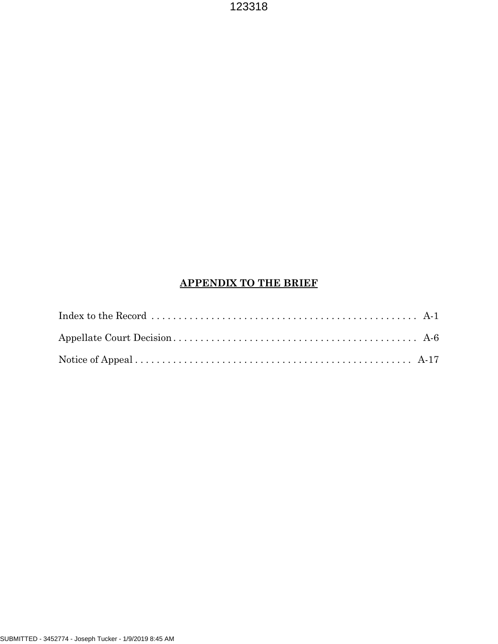# **APPENDIX TO THE BRIEF**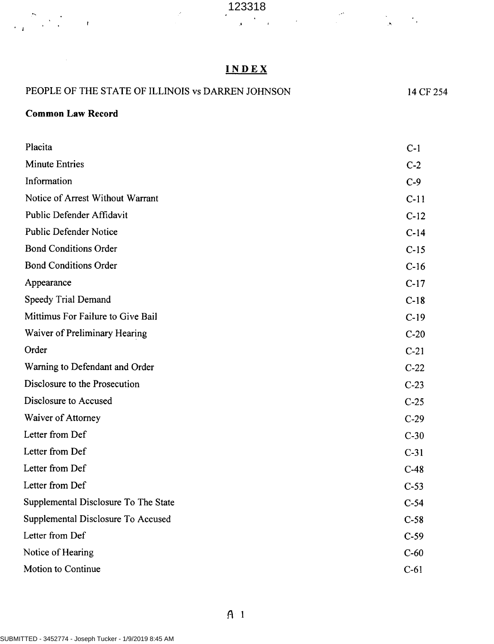| 123318 |  |  |  |
|--------|--|--|--|
|        |  |  |  |
|        |  |  |  |

# INDEX

| PEOPLE OF THE STATE OF ILLINOIS vs DARREN JOHNSON | 14 CF 254 |
|---------------------------------------------------|-----------|
| <b>Common Law Record</b>                          |           |
| Placita                                           | $C-1$     |
| <b>Minute Entries</b>                             | $C-2$     |
| Information                                       | $C-9$     |
| Notice of Arrest Without Warrant                  | $C-11$    |
| Public Defender Affidavit                         | $C-12$    |
| <b>Public Defender Notice</b>                     | $C-14$    |
| <b>Bond Conditions Order</b>                      | $C-15$    |
| <b>Bond Conditions Order</b>                      | $C-16$    |
| Appearance                                        | $C-17$    |
| Speedy Trial Demand                               | $C-18$    |
| Mittimus For Failure to Give Bail                 | $C-19$    |
| Waiver of Preliminary Hearing                     | $C-20$    |
| Order                                             | $C-21$    |
| Warning to Defendant and Order                    | $C-22$    |
| Disclosure to the Prosecution                     | $C-23$    |
| Disclosure to Accused                             | $C-25$    |
| Waiver of Attorney                                | $C-29$    |
| Letter from Def                                   | $C-30$    |
| Letter from Def                                   | $C-31$    |
| Letter from Def                                   | $C-48$    |
| Letter from Def                                   | $C-53$    |
| Supplemental Disclosure To The State              | $C-54$    |
| Supplemental Disclosure To Accused                | $C-58$    |
| Letter from Def                                   | $C-59$    |
| Notice of Hearing                                 | $C-60$    |
| Motion to Continue                                | $C-61$    |

, for  $\frac{1}{2} \sum_{i=1}^N \frac{1}{2} \sum_{j=1}^N \frac{1}{j} \sum_{j=1}^N \frac{1}{j} \sum_{j=1}^N \frac{1}{j} \sum_{j=1}^N \frac{1}{j} \sum_{j=1}^N \frac{1}{j} \sum_{j=1}^N \frac{1}{j} \sum_{j=1}^N \frac{1}{j} \sum_{j=1}^N \frac{1}{j} \sum_{j=1}^N \frac{1}{j} \sum_{j=1}^N \frac{1}{j} \sum_{j=1}^N \frac{1}{j} \sum_{j=1}^N \frac{1}{j$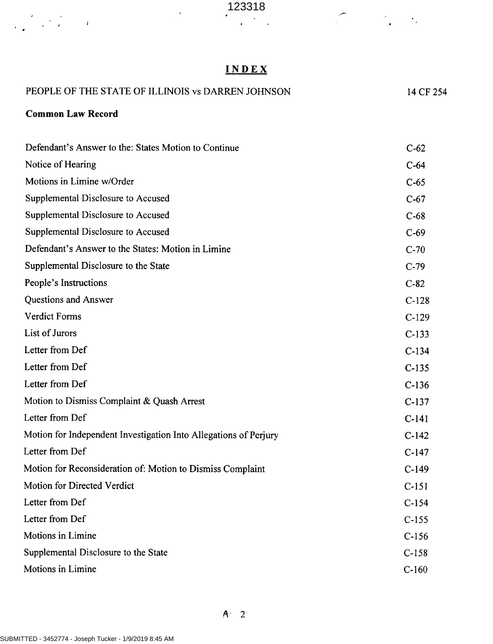# INDEX

| PEOPLE OF THE STATE OF ILLINOIS vs DARREN JOHNSON                | 14 CF 254 |
|------------------------------------------------------------------|-----------|
| <b>Common Law Record</b>                                         |           |
| Defendant's Answer to the: States Motion to Continue             | $C-62$    |
| Notice of Hearing                                                | $C-64$    |
| Motions in Limine w/Order                                        | $C-65$    |
| Supplemental Disclosure to Accused                               | $C-67$    |
| Supplemental Disclosure to Accused                               | $C-68$    |
| Supplemental Disclosure to Accused                               | $C-69$    |
| Defendant's Answer to the States: Motion in Limine               | $C-70$    |
| Supplemental Disclosure to the State                             | $C-79$    |
| People's Instructions                                            | $C-82$    |
| Questions and Answer                                             | $C-128$   |
| <b>Verdict Forms</b>                                             | $C-129$   |
| List of Jurors                                                   | $C-133$   |
| Letter from Def                                                  | $C-134$   |
| Letter from Def                                                  | $C-135$   |
| Letter from Def                                                  | $C-136$   |
| Motion to Dismiss Complaint & Quash Arrest                       | $C-137$   |
| Letter from Def                                                  | $C-141$   |
| Motion for Independent Investigation Into Allegations of Perjury | $C-142$   |
| Letter from Def                                                  | $C-147$   |
| Motion for Reconsideration of: Motion to Dismiss Complaint       | $C-149$   |
| Motion for Directed Verdict                                      | $C-151$   |
| Letter from Def                                                  | $C-154$   |
| Letter from Def                                                  | $C-155$   |
| Motions in Limine                                                | $C-156$   |
| Supplemental Disclosure to the State                             | $C-158$   |
| Motions in Limine                                                | $C-160$   |

 $\epsilon$  and  $\epsilon$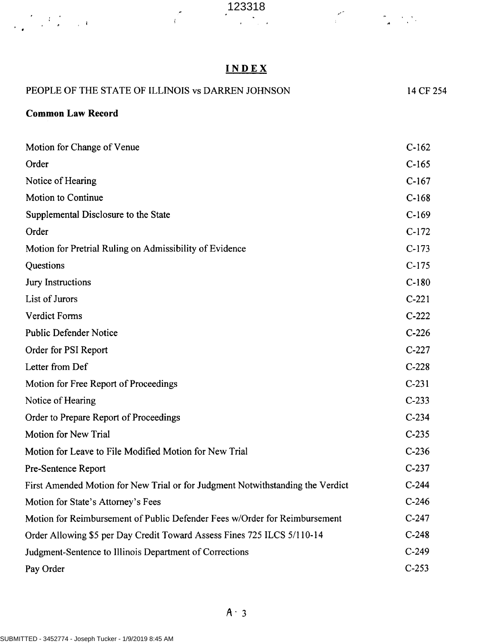$\mathcal{L}$ 

 $\label{eq:2} \frac{1}{\sqrt{2\pi}}\int_{0}^{\infty}\frac{d\omega}{\omega}\left(\frac{d\omega}{2\pi}\right)^2\frac{d\omega}{\omega}\left(\frac{d\omega}{2\pi}\right)^2.$ 

 $\mathcal{P}^{\mathcal{P}}_{\mathcal{P}}=\mathcal{P}^{\mathcal{P}}_{\mathcal{P}}$ 

# <sup>I</sup> NDEX

| PEOPLE OF THE STATE OF ILLINOIS vs DARREN JOHNSON                              | 14 CF 254 |  |
|--------------------------------------------------------------------------------|-----------|--|
| <b>Common Law Record</b>                                                       |           |  |
| Motion for Change of Venue                                                     | $C-162$   |  |
| Order                                                                          | $C-165$   |  |
| Notice of Hearing                                                              | $C-167$   |  |
| <b>Motion to Continue</b>                                                      | $C-168$   |  |
| Supplemental Disclosure to the State                                           | $C-169$   |  |
| Order                                                                          | $C-172$   |  |
| Motion for Pretrial Ruling on Admissibility of Evidence                        | $C-173$   |  |
| Questions                                                                      | $C-175$   |  |
| Jury Instructions                                                              | $C-180$   |  |
| List of Jurors                                                                 | $C-221$   |  |
| <b>Verdict Forms</b>                                                           | $C-222$   |  |
| <b>Public Defender Notice</b>                                                  | $C-226$   |  |
| Order for PSI Report                                                           | $C-227$   |  |
| Letter from Def                                                                | $C-228$   |  |
| Motion for Free Report of Proceedings                                          | $C-231$   |  |
| Notice of Hearing                                                              | $C-233$   |  |
| Order to Prepare Report of Proceedings                                         | $C-234$   |  |
| <b>Motion for New Trial</b>                                                    | $C-235$   |  |
| Motion for Leave to File Modified Motion for New Trial                         | $C-236$   |  |
| Pre-Sentence Report                                                            | $C-237$   |  |
| First Amended Motion for New Trial or for Judgment Notwithstanding the Verdict | $C-244$   |  |
| Motion for State's Attorney's Fees                                             | $C-246$   |  |
| Motion for Reimbursement of Public Defender Fees w/Order for Reimbursement     | $C-247$   |  |
| Order Allowing \$5 per Day Credit Toward Assess Fines 725 ILCS 5/110-14        | $C-248$   |  |
| Judgment-Sentence to Illinois Department of Corrections                        | $C-249$   |  |
| Pay Order                                                                      | $C-253$   |  |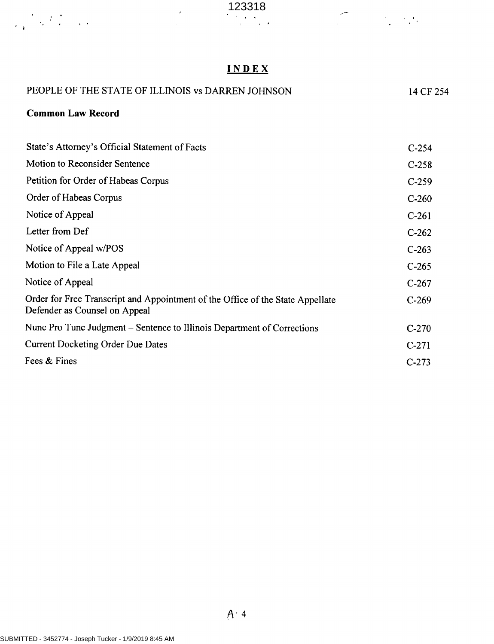

# <sup>I</sup> NDEX

 $\mathcal{L}(\mathcal{L})$  .

 $\frac{1}{\sqrt{2}}\sum_{i=1}^n\frac{1}{\sqrt{2}}\sum_{i=1}^n\frac{1}{\sqrt{2}}\sum_{i=1}^n\frac{1}{\sqrt{2}}\sum_{i=1}^n\frac{1}{\sqrt{2}}\sum_{i=1}^n\frac{1}{\sqrt{2}}\sum_{i=1}^n\frac{1}{\sqrt{2}}\sum_{i=1}^n\frac{1}{\sqrt{2}}\sum_{i=1}^n\frac{1}{\sqrt{2}}\sum_{i=1}^n\frac{1}{\sqrt{2}}\sum_{i=1}^n\frac{1}{\sqrt{2}}\sum_{i=1}^n\frac{1}{\sqrt{2}}\$ 

| PEOPLE OF THE STATE OF ILLINOIS vs DARREN JOHNSON                                                               | 14 CF 254 |  |
|-----------------------------------------------------------------------------------------------------------------|-----------|--|
| <b>Common Law Record</b>                                                                                        |           |  |
|                                                                                                                 |           |  |
| State's Attorney's Official Statement of Facts                                                                  | $C-254$   |  |
| <b>Motion to Reconsider Sentence</b>                                                                            | $C-258$   |  |
| Petition for Order of Habeas Corpus                                                                             | $C-259$   |  |
| Order of Habeas Corpus                                                                                          | $C-260$   |  |
| Notice of Appeal                                                                                                | $C-261$   |  |
| Letter from Def                                                                                                 | $C-262$   |  |
| Notice of Appeal w/POS                                                                                          | $C-263$   |  |
| Motion to File a Late Appeal                                                                                    | $C-265$   |  |
| Notice of Appeal                                                                                                | $C-267$   |  |
| Order for Free Transcript and Appointment of the Office of the State Appellate<br>Defender as Counsel on Appeal | $C-269$   |  |
| Nunc Pro Tunc Judgment – Sentence to Illinois Department of Corrections                                         | $C-270$   |  |
| <b>Current Docketing Order Due Dates</b>                                                                        | $C-271$   |  |
| Fees & Fines                                                                                                    | $C-273$   |  |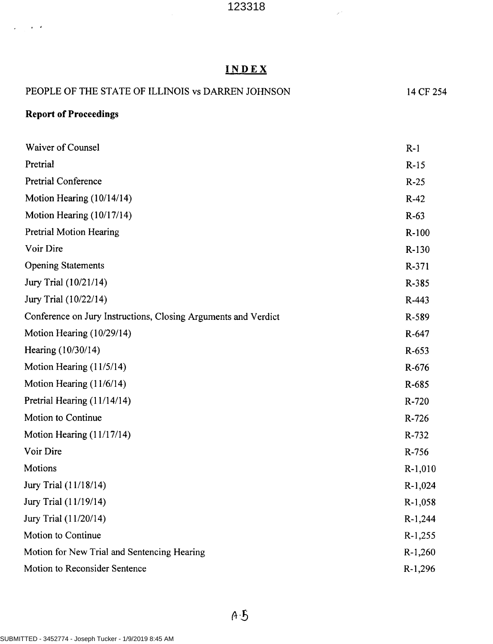### INDEX

# PEOPLE OF THE STATE OF ILLINOIS vs DARREN JOHNSON 14 CF 254 Report of Proceedings Waiver of Counsel R-1 Pretrial R-15 Pretrial Conference R-25 Motion Hearing (10/14/14) R-42 Motion Hearing  $(10/17/14)$  R-63 Pretrial Motion Hearing R-100 Voir Dire R-130 Opening Statements R-371 Jury Trial (10/21/14) R-385 Jury Trial  $(10/22/14)$  R-443 Conference on Jury Instructions, Closing Arguments and Verdict R-589 Motion Hearing (10/29/14) R-647 Hearing (10/30/14) R-653 Motion Hearing  $(11/5/14)$  R-676 Motion Hearing  $(11/6/14)$  R-685 Pretrial Hearing (11/14/14) R-720 Motion to Continue R-726 Motion Hearing (11/17/14) R-732 Voir Dire R-756 Motions R-1,010 Jury Trial (11/18/14) R-1,024 Jury Trial (11/19/14) R-1,058 Jury Trial (11/20/14) R-1,244 Motion to Continue R-1,255 Motion for New Trial and Sentencing Hearing Research Assembly R-1,260 Motion to Reconsider Sentence R-1,296

 $\sim$   $\sim$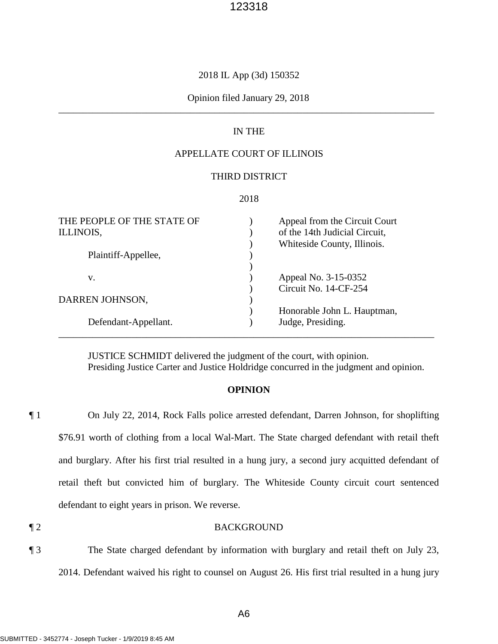### 2018 IL App (3d) 150352

### \_\_\_\_\_\_\_\_\_\_\_\_\_\_\_\_\_\_\_\_\_\_\_\_\_\_\_\_\_\_\_\_\_\_\_\_\_\_\_\_\_\_\_\_\_\_\_\_\_\_\_\_\_\_\_\_\_\_\_\_\_\_\_\_\_\_\_\_\_\_\_\_\_\_\_\_\_ Opinion filed January 29, 2018

### IN THE

# APPELLATE COURT OF ILLINOIS

### THIRD DISTRICT

#### 2018

| THE PEOPLE OF THE STATE OF | Appeal from the Circuit Court |
|----------------------------|-------------------------------|
| ILLINOIS,                  | of the 14th Judicial Circuit, |
|                            | Whiteside County, Illinois.   |
| Plaintiff-Appellee,        |                               |
|                            |                               |
| V.                         | Appeal No. 3-15-0352          |
|                            | Circuit No. 14-CF-254         |
| DARREN JOHNSON,            |                               |
|                            | Honorable John L. Hauptman,   |
| Defendant-Appellant.       | Judge, Presiding.             |
|                            |                               |

JUSTICE SCHMIDT delivered the judgment of the court, with opinion. Presiding Justice Carter and Justice Holdridge concurred in the judgment and opinion.

### **OPINION**

 \$76.91 worth of clothing from a local Wal-Mart. The State charged defendant with retail theft ¶ 1 On July 22, 2014, Rock Falls police arrested defendant, Darren Johnson, for shoplifting and burglary. After his first trial resulted in a hung jury, a second jury acquitted defendant of retail theft but convicted him of burglary. The Whiteside County circuit court sentenced defendant to eight years in prison. We reverse.

#### ¶ 2 BACKGROUND

¶ 3 The State charged defendant by information with burglary and retail theft on July 23, 2014. Defendant waived his right to counsel on August 26. His first trial resulted in a hung jury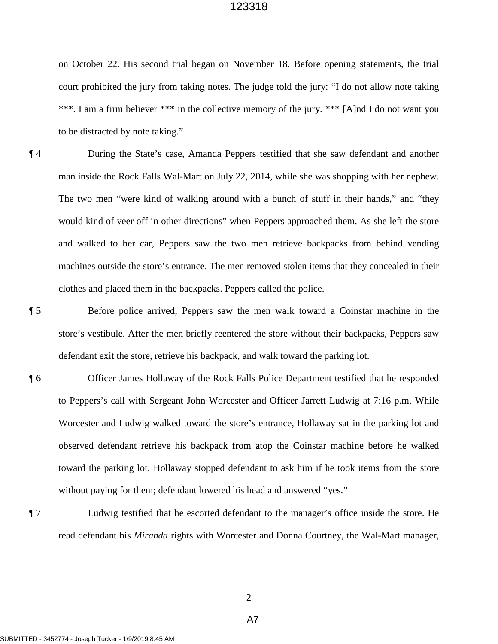\*\*\*. I am a firm believer \*\*\* in the collective memory of the jury. \*\*\* [A]nd I do not want you to be distracted by note taking." on October 22. His second trial began on November 18. Before opening statements, the trial court prohibited the jury from taking notes. The judge told the jury: "I do not allow note taking

- The two men "were kind of walking around with a bunch of stuff in their hands," and "they ¶ 4 During the State's case, Amanda Peppers testified that she saw defendant and another man inside the Rock Falls Wal-Mart on July 22, 2014, while she was shopping with her nephew. would kind of veer off in other directions" when Peppers approached them. As she left the store and walked to her car, Peppers saw the two men retrieve backpacks from behind vending machines outside the store's entrance. The men removed stolen items that they concealed in their clothes and placed them in the backpacks. Peppers called the police.
- 

¶ 5 Before police arrived, Peppers saw the men walk toward a Coinstar machine in the store's vestibule. After the men briefly reentered the store without their backpacks, Peppers saw defendant exit the store, retrieve his backpack, and walk toward the parking lot.

- to Peppers's call with Sergeant John Worcester and Officer Jarrett Ludwig at 7:16 p.m. While Worcester and Ludwig walked toward the store's entrance, Hollaway sat in the parking lot and without paying for them; defendant lowered his head and answered "yes." ¶ 6 Officer James Hollaway of the Rock Falls Police Department testified that he responded observed defendant retrieve his backpack from atop the Coinstar machine before he walked toward the parking lot. Hollaway stopped defendant to ask him if he took items from the store
- read defendant his *Miranda* rights with Worcester and Donna Courtney, the Wal-Mart manager, ¶ 7 Ludwig testified that he escorted defendant to the manager's office inside the store. He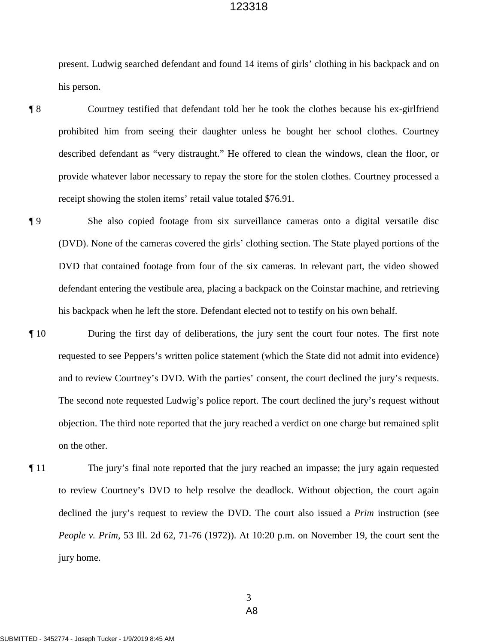present. Ludwig searched defendant and found 14 items of girls' clothing in his backpack and on his person.

 prohibited him from seeing their daughter unless he bought her school clothes. Courtney described defendant as "very distraught." He offered to clean the windows, clean the floor, or ¶ 8 Courtney testified that defendant told her he took the clothes because his ex-girlfriend provide whatever labor necessary to repay the store for the stolen clothes. Courtney processed a receipt showing the stolen items' retail value totaled \$76.91.

 his backpack when he left the store. Defendant elected not to testify on his own behalf. ¶ 9 She also copied footage from six surveillance cameras onto a digital versatile disc (DVD). None of the cameras covered the girls' clothing section. The State played portions of the DVD that contained footage from four of the six cameras. In relevant part, the video showed defendant entering the vestibule area, placing a backpack on the Coinstar machine, and retrieving

- ¶ 10 During the first day of deliberations, the jury sent the court four notes. The first note requested to see Peppers's written police statement (which the State did not admit into evidence) and to review Courtney's DVD. With the parties' consent, the court declined the jury's requests. The second note requested Ludwig's police report. The court declined the jury's request without objection. The third note reported that the jury reached a verdict on one charge but remained split on the other.
- ¶ 11 The jury's final note reported that the jury reached an impasse; the jury again requested to review Courtney's DVD to help resolve the deadlock. Without objection, the court again declined the jury's request to review the DVD. The court also issued a *Prim* instruction (see *People v. Prim*, 53 Ill. 2d 62, 71-76 (1972)). At 10:20 p.m. on November 19, the court sent the jury home.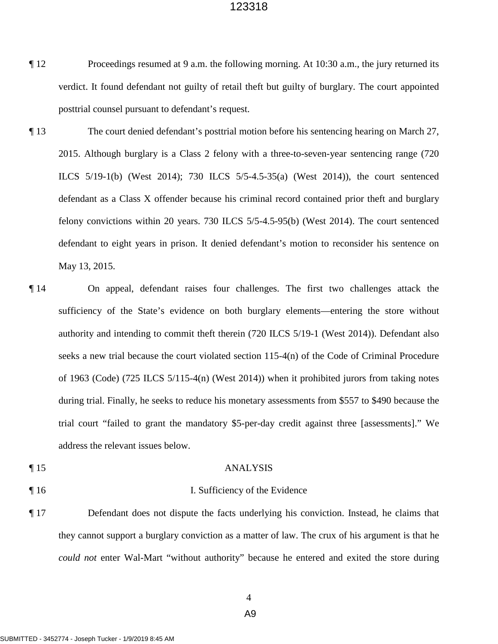- ¶ 12 Proceedings resumed at 9 a.m. the following morning. At 10:30 a.m., the jury returned its posttrial counsel pursuant to defendant's request. verdict. It found defendant not guilty of retail theft but guilty of burglary. The court appointed
- ¶ 13 The court denied defendant's posttrial motion before his sentencing hearing on March 27, 2015. Although burglary is a Class 2 felony with a three-to-seven-year sentencing range (720 defendant as a Class X offender because his criminal record contained prior theft and burglary ILCS 5/19-1(b) (West 2014); 730 ILCS 5/5-4.5-35(a) (West 2014)), the court sentenced felony convictions within 20 years. 730 ILCS 5/5-4.5-95(b) (West 2014). The court sentenced defendant to eight years in prison. It denied defendant's motion to reconsider his sentence on May 13, 2015.
- ¶ 14 On appeal, defendant raises four challenges. The first two challenges attack the sufficiency of the State's evidence on both burglary elements—entering the store without authority and intending to commit theft therein (720 ILCS 5/19-1 (West 2014)). Defendant also seeks a new trial because the court violated section 115-4(n) of the Code of Criminal Procedure of 1963 (Code) (725 ILCS 5/115-4(n) (West 2014)) when it prohibited jurors from taking notes during trial. Finally, he seeks to reduce his monetary assessments from \$557 to \$490 because the trial court "failed to grant the mandatory \$5-per-day credit against three [assessments]." We address the relevant issues below.
- 

### ¶ 15 ANALYSIS

### ¶ 16 I. Sufficiency of the Evidence

¶ 17 Defendant does not dispute the facts underlying his conviction. Instead, he claims that they cannot support a burglary conviction as a matter of law. The crux of his argument is that he *could not* enter Wal-Mart "without authority" because he entered and exited the store during

4

A9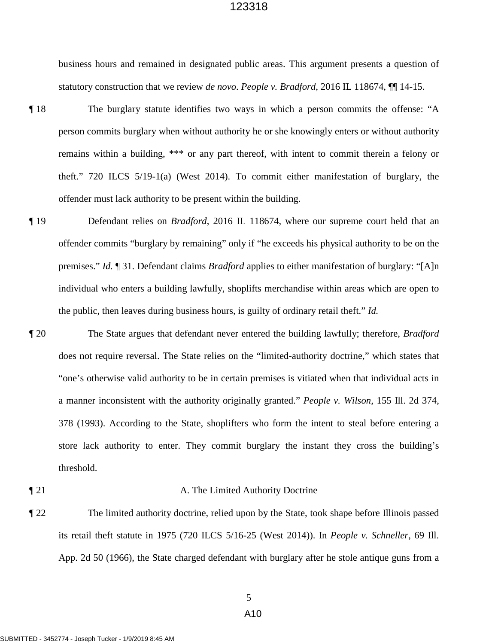business hours and remained in designated public areas. This argument presents a question of statutory construction that we review *de novo*. *People v. Bradford*, 2016 IL 118674, ¶¶ 14-15.

- ¶ 18 The burglary statute identifies two ways in which a person commits the offense: "A person commits burglary when without authority he or she knowingly enters or without authority remains within a building, \*\*\* or any part thereof, with intent to commit therein a felony or theft." 720 ILCS 5/19-1(a) (West 2014). To commit either manifestation of burglary, the offender must lack authority to be present within the building.
- the public, then leaves during business hours, is guilty of ordinary retail theft." *Id.*  ¶ 19 Defendant relies on *Bradford*, 2016 IL 118674, where our supreme court held that an offender commits "burglary by remaining" only if "he exceeds his physical authority to be on the premises." *Id.* ¶ 31. Defendant claims *Bradford* applies to either manifestation of burglary: "[A]n individual who enters a building lawfully, shoplifts merchandise within areas which are open to
- a manner inconsistent with the authority originally granted." *People v. Wilson*, 155 Ill. 2d 374, 378 (1993). According to the State, shoplifters who form the intent to steal before entering a ¶ 20 The State argues that defendant never entered the building lawfully; therefore, *Bradford*  does not require reversal. The State relies on the "limited-authority doctrine," which states that "one's otherwise valid authority to be in certain premises is vitiated when that individual acts in store lack authority to enter. They commit burglary the instant they cross the building's threshold.
- 

#### ¶ 21 A. The Limited Authority Doctrine

¶ 22 The limited authority doctrine, relied upon by the State, took shape before Illinois passed its retail theft statute in 1975 (720 ILCS 5/16-25 (West 2014)). In *People v. Schneller*, 69 Ill. App. 2d 50 (1966), the State charged defendant with burglary after he stole antique guns from a

# A10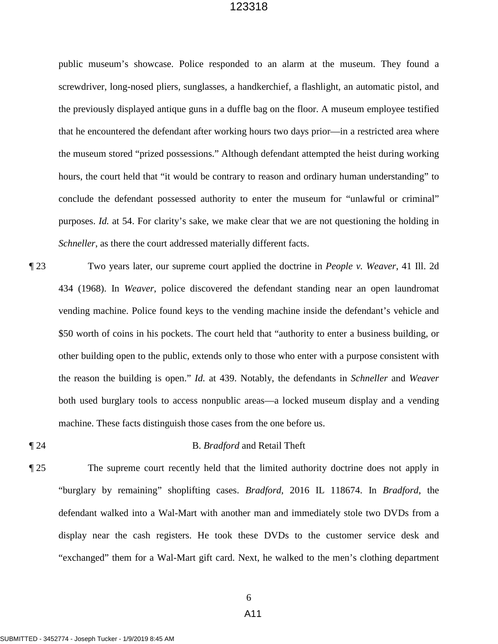*Schneller*, as there the court addressed materially different facts. public museum's showcase. Police responded to an alarm at the museum. They found a screwdriver, long-nosed pliers, sunglasses, a handkerchief, a flashlight, an automatic pistol, and the previously displayed antique guns in a duffle bag on the floor. A museum employee testified that he encountered the defendant after working hours two days prior—in a restricted area where the museum stored "prized possessions." Although defendant attempted the heist during working hours, the court held that "it would be contrary to reason and ordinary human understanding" to conclude the defendant possessed authority to enter the museum for "unlawful or criminal" purposes. *Id.* at 54. For clarity's sake, we make clear that we are not questioning the holding in

- ¶ 23 Two years later, our supreme court applied the doctrine in *People v. Weaver*, 41 Ill. 2d 434 (1968). In *Weaver*, police discovered the defendant standing near an open laundromat vending machine. Police found keys to the vending machine inside the defendant's vehicle and \$50 worth of coins in his pockets. The court held that "authority to enter a business building, or other building open to the public, extends only to those who enter with a purpose consistent with the reason the building is open." *Id.* at 439. Notably, the defendants in *Schneller* and *Weaver*  both used burglary tools to access nonpublic areas—a locked museum display and a vending machine. These facts distinguish those cases from the one before us.
- 

### ¶ 24 B. *Bradford* and Retail Theft

¶ 25 The supreme court recently held that the limited authority doctrine does not apply in "burglary by remaining" shoplifting cases. *Bradford*, 2016 IL 118674. In *Bradford*, the defendant walked into a Wal-Mart with another man and immediately stole two DVDs from a display near the cash registers. He took these DVDs to the customer service desk and "exchanged" them for a Wal-Mart gift card. Next, he walked to the men's clothing department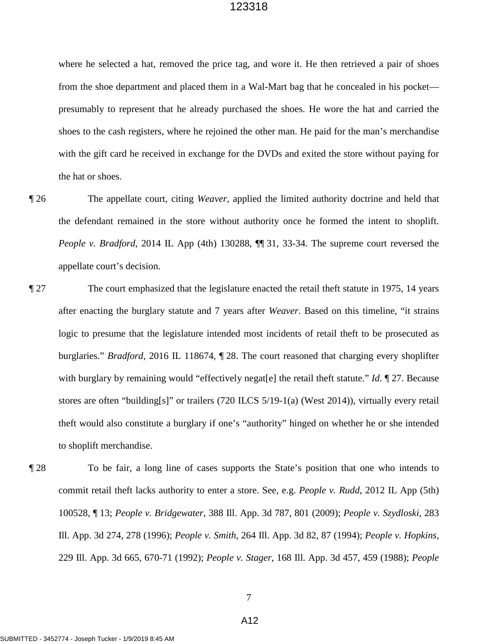where he selected a hat, removed the price tag, and wore it. He then retrieved a pair of shoes presumably to represent that he already purchased the shoes. He wore the hat and carried the shoes to the cash registers, where he rejoined the other man. He paid for the man's merchandise from the shoe department and placed them in a Wal-Mart bag that he concealed in his pocket with the gift card he received in exchange for the DVDs and exited the store without paying for the hat or shoes.

- ¶ 26 The appellate court, citing *Weaver*, applied the limited authority doctrine and held that the defendant remained in the store without authority once he formed the intent to shoplift. *People v. Bradford*, 2014 IL App (4th) 130288,  $\P$  31, 33-34. The supreme court reversed the appellate court's decision.
- after enacting the burglary statute and 7 years after *Weaver*. Based on this timeline, "it strains with burglary by remaining would "effectively negat[e] the retail theft statute." *Id.* ¶ 27. Because stores are often "building[s]" or trailers (720 ILCS 5/19-1(a) (West 2014)), virtually every retail ¶ 27 The court emphasized that the legislature enacted the retail theft statute in 1975, 14 years logic to presume that the legislature intended most incidents of retail theft to be prosecuted as burglaries." *Bradford*, 2016 IL 118674, ¶ 28. The court reasoned that charging every shoplifter theft would also constitute a burglary if one's "authority" hinged on whether he or she intended to shoplift merchandise.
- Ill. App. 3d 274, 278 (1996); *People v. Smith*, 264 Ill. App. 3d 82, 87 (1994); *People v. Hopkins*, 229 Ill. App. 3d 665, 670-71 (1992); *People v. Stager*, 168 Ill. App. 3d 457, 459 (1988); *People*  ¶ 28 To be fair, a long line of cases supports the State's position that one who intends to commit retail theft lacks authority to enter a store. See, e.g. *People v. Rudd*, 2012 IL App (5th) 100528, ¶ 13; *People v. Bridgewater*, 388 Ill. App. 3d 787, 801 (2009); *People v. Szydloski*, 283

A12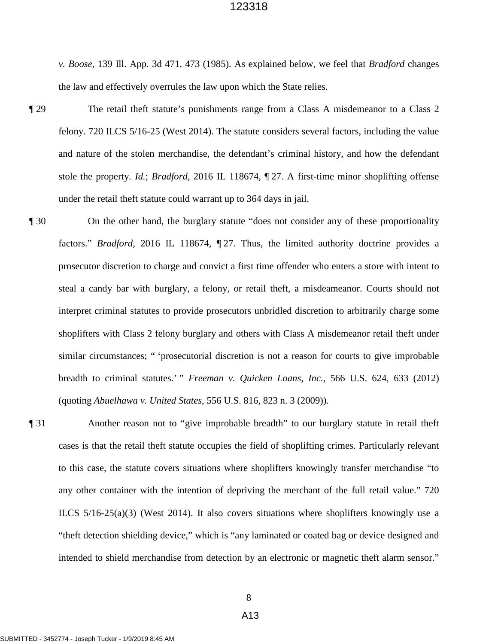*v. Boose*, 139 Ill. App. 3d 471, 473 (1985). As explained below, we feel that *Bradford* changes the law and effectively overrules the law upon which the State relies.

- stole the property. *Id.*; *Bradford*, 2016 IL 118674, ¶ 27. A first-time minor shoplifting offense The retail the ft statute's punishments range from a Class A misdemeanor to a Class 2 felony. 720 ILCS 5/16-25 (West 2014). The statute considers several factors, including the value and nature of the stolen merchandise, the defendant's criminal history, and how the defendant under the retail theft statute could warrant up to 364 days in jail.
- factors." *Bradford*, 2016 IL 118674, 127. Thus, the limited authority doctrine provides a ¶ 30 On the other hand, the burglary statute "does not consider any of these proportionality prosecutor discretion to charge and convict a first time offender who enters a store with intent to steal a candy bar with burglary, a felony, or retail theft, a misdeameanor. Courts should not interpret criminal statutes to provide prosecutors unbridled discretion to arbitrarily charge some shoplifters with Class 2 felony burglary and others with Class A misdemeanor retail theft under similar circumstances; " 'prosecutorial discretion is not a reason for courts to give improbable breadth to criminal statutes.' " *Freeman v. Quicken Loans, Inc.*, 566 U.S. 624, 633 (2012) (quoting *Abuelhawa v. United States*, 556 U.S. 816, 823 n. 3 (2009)).
	- ¶ 31 Another reason not to "give improbable breadth" to our burglary statute in retail theft ILCS 5/16-25(a)(3) (West 2014). It also covers situations where shoplifters knowingly use a "theft detection shielding device," which is "any laminated or coated bag or device designed and cases is that the retail theft statute occupies the field of shoplifting crimes. Particularly relevant to this case, the statute covers situations where shoplifters knowingly transfer merchandise "to any other container with the intention of depriving the merchant of the full retail value." 720 intended to shield merchandise from detection by an electronic or magnetic theft alarm sensor."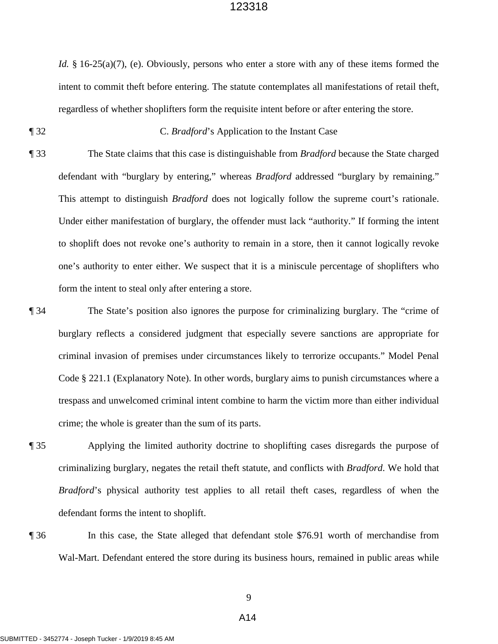*Id.* § 16-25(a)(7), (e). Obviously, persons who enter a store with any of these items formed the intent to commit theft before entering. The statute contemplates all manifestations of retail theft, regardless of whether shoplifters form the requisite intent before or after entering the store.

¶ 32 C. *Bradford*'s Application to the Instant Case

- one's authority to enter either. We suspect that it is a miniscule percentage of shoplifters who ¶ 33 The State claims that this case is distinguishable from *Bradford* because the State charged defendant with "burglary by entering," whereas *Bradford* addressed "burglary by remaining." This attempt to distinguish *Bradford* does not logically follow the supreme court's rationale. Under either manifestation of burglary, the offender must lack "authority." If forming the intent to shoplift does not revoke one's authority to remain in a store, then it cannot logically revoke form the intent to steal only after entering a store.
- Code § 221.1 (Explanatory Note). In other words, burglary aims to punish circumstances where a ¶ 34 The State's position also ignores the purpose for criminalizing burglary. The "crime of burglary reflects a considered judgment that especially severe sanctions are appropriate for criminal invasion of premises under circumstances likely to terrorize occupants." Model Penal trespass and unwelcomed criminal intent combine to harm the victim more than either individual crime; the whole is greater than the sum of its parts.
- ¶ 35 Applying the limited authority doctrine to shoplifting cases disregards the purpose of criminalizing burglary, negates the retail theft statute, and conflicts with *Bradford*. We hold that *Bradford*'s physical authority test applies to all retail theft cases, regardless of when the defendant forms the intent to shoplift.
- 

¶ 36 In this case, the State alleged that defendant stole \$76.91 worth of merchandise from Wal-Mart. Defendant entered the store during its business hours, remained in public areas while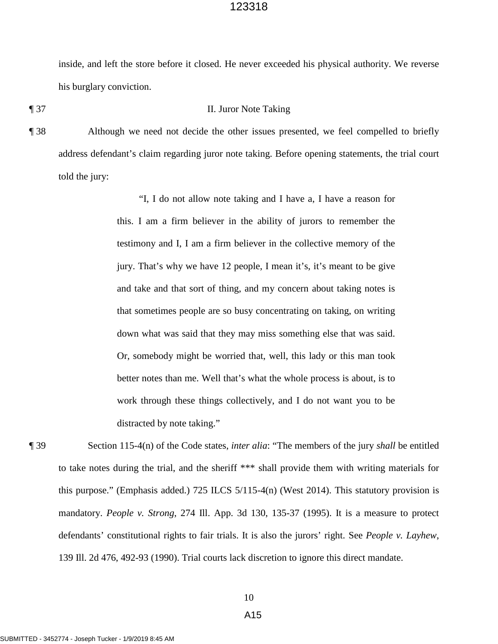inside, and left the store before it closed. He never exceeded his physical authority. We reverse his burglary conviction.

#### ¶ 37 II. Juror Note Taking

¶ 38 Although we need not decide the other issues presented, we feel compelled to briefly address defendant's claim regarding juror note taking. Before opening statements, the trial court told the jury:

> testimony and I, I am a firm believer in the collective memory of the better notes than me. Well that's what the whole process is about, is to work through these things collectively, and I do not want you to be "I, I do not allow note taking and I have a, I have a reason for this. I am a firm believer in the ability of jurors to remember the jury. That's why we have 12 people, I mean it's, it's meant to be give and take and that sort of thing, and my concern about taking notes is that sometimes people are so busy concentrating on taking, on writing down what was said that they may miss something else that was said. Or, somebody might be worried that, well, this lady or this man took distracted by note taking."

 defendants' constitutional rights to fair trials. It is also the jurors' right. See *People v. Layhew*, 139 Ill. 2d 476, 492-93 (1990). Trial courts lack discretion to ignore this direct mandate. ¶ 39 Section 115-4(n) of the Code states, *inter alia*: "The members of the jury *shall* be entitled to take notes during the trial, and the sheriff \*\*\* shall provide them with writing materials for this purpose." (Emphasis added.) 725 ILCS 5/115-4(n) (West 2014). This statutory provision is mandatory. *People v. Strong*, 274 Ill. App. 3d 130, 135-37 (1995). It is a measure to protect

10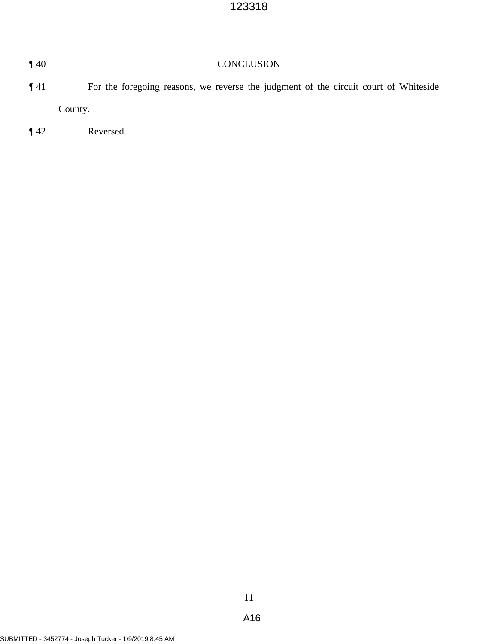| $\P$ 40 | <b>CONCLUSION</b>                                                                    |  |  |  |
|---------|--------------------------------------------------------------------------------------|--|--|--|
| $\P$ 41 | For the foregoing reasons, we reverse the judgment of the circuit court of Whiteside |  |  |  |
|         | County.                                                                              |  |  |  |
| $\P$ 42 | Reversed.                                                                            |  |  |  |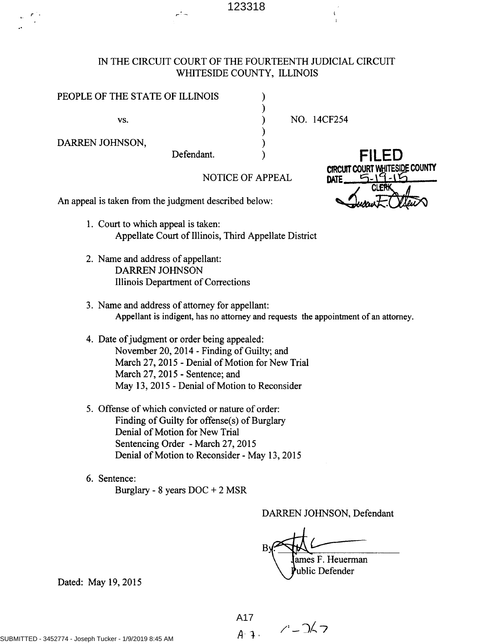# IN THE CIRCUIT COURT OF THE FOURTEENTH JUDICIAL CIRCUIT WHITESIDE COUNTY, ILLINOIS

| PEOPLE OF THE STATE OF ILLINOIS |  |
|---------------------------------|--|
|                                 |  |

 $\mathsf{vs.}$  )

DARREN JOHNSON,

NO. 14CF254

DATE

NOTICE OF APPEAL

An appeal is taken from the judgment described below:

1. Court to which appeal is taken: Appellate Court of Illinois, Third Appellate District

Defendant.

- 2. Name and address of appellant: DARREN JOHNSON Illinois Department of Corrections
- 3. Name and address of attorney for appellant: Appellant is indigent, has no attorney and requests the appointment of an attorney.
- 4. Date of judgment or order being appealed: November 20, 2014 - Finding of Guilty; and March 27, 2015 - Denial of Motion for New Trial March 27, 2015 - Sentence; and May 13, 2015 - Denial of Motion to Reconsider
- 5. Offense of which convicted or nature of order: Finding of Guilty for offense(s) of Burglary Denial of Motion for New Trial Sentencing Order - March 27, 2015 Denial of Motion to Reconsider - May 13, 2015
- 6. Sentence: Burglary - 8 years DOC + 2 MSR

DARKEN JOHNSON, Defendant

 $B\sqrt{2}$ . ames F. Heuerman ublic Defender

Dated: May 19, 2015

 $A. 3. 7 - 267$ A17

**CLER** 

FILED CIRCUIT COURT WHITESIDE COUNTY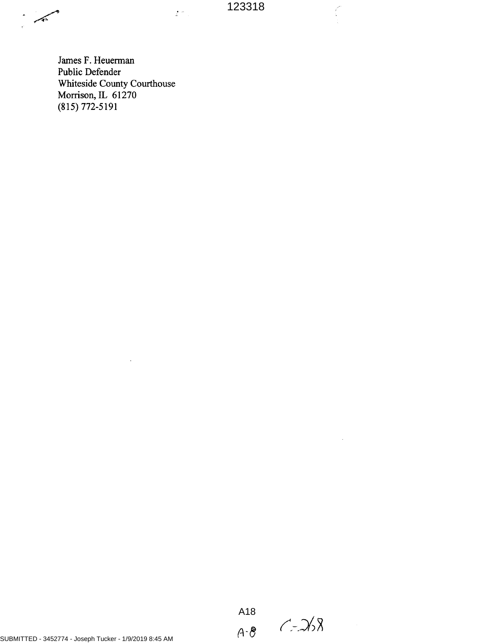$\tilde{\mathcal{L}}^{(2)}$  .

 $\zeta$ 

 $\bar{z}$ 

James F. Heuerman Public Defender Whiteside County Courthouse Morrison, IL 61270 (815) 772-5191

 $\ddot{\phantom{a}}$ 

,~'•

 $\hat{\phantom{a}}$ 

 $C - 268$